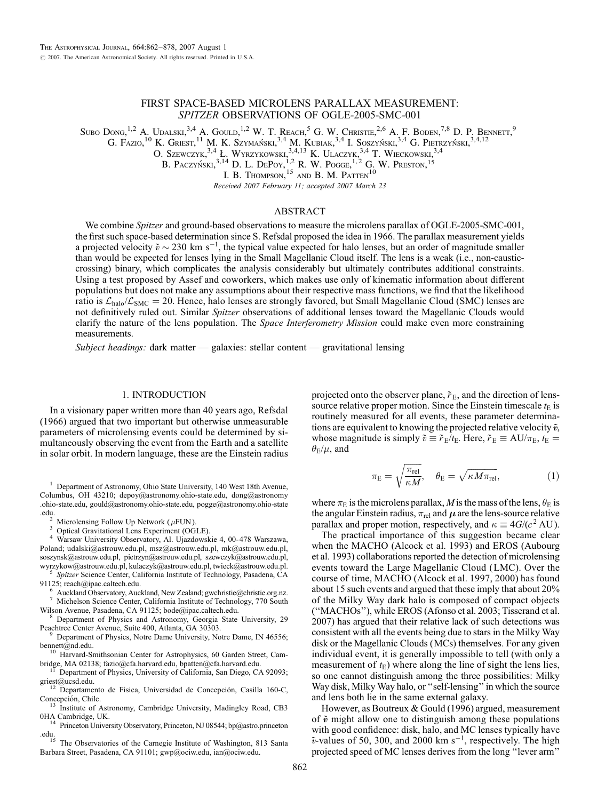# FIRST SPACE-BASED MICROLENS PARALLAX MEASUREMENT: SPITZER OBSERVATIONS OF OGLE-2005-SMC-001

Subo Dong,  $^{1,2}$  A. Udalski,  $^{3,4}$  A. Gould,  $^{1,2}$  W. T. Reach, <sup>5</sup> G. W. Christie,  $^{2,6}$  A. F. Boden,  $^{7,8}$  D. P. Bennett, <sup>9</sup>

G. Fazio,  $10$  K. Griest,  $11$  M. K. Szymański,  $3,4$  M. Kubiak,  $3,4$  I. Soszyński,  $3,4$  G. Pietrzyński,  $3,4,12$ 

O. Szewczyk,<sup>3,4</sup> Ł. Wyrzykowski,<sup>3,4,13</sup> K. Ulaczyk,<sup>3,4</sup> T. Wieckowski,<sup>3,4</sup>

B. Paczyński,  $^{3,14}$  D. L. DePoy,  $^{1,2}$  R. W. Pogge,  $^{1,2}$  G. W. Preston,  $^{15}$ 

I. B. Thompson,  $^{15}$  and B. M. Patten<sup>10</sup>

Received 2007 February 11; accepted 2007 March 23

## ABSTRACT

We combine Spitzer and ground-based observations to measure the microlens parallax of OGLE-2005-SMC-001, the first such space-based determination since S. Refsdal proposed the idea in 1966. The parallax measurement yields a projected velocity  $\tilde{v} \sim 230$  km s<sup>-1</sup>, the typical value expected for halo lenses, but an order of magnitude smaller than would be expected for lenses lying in the Small Magellanic Cloud itself. The lens is a weak (i.e., non-causticcrossing) binary, which complicates the analysis considerably but ultimately contributes additional constraints. Using a test proposed by Assef and coworkers, which makes use only of kinematic information about different populations but does not make any assumptions about their respective mass functions, we find that the likelihood ratio is  $\mathcal{L}_{halo}/\mathcal{L}_{SMC} = 20$ . Hence, halo lenses are strongly favored, but Small Magellanic Cloud (SMC) lenses are not definitively ruled out. Similar Spitzer observations of additional lenses toward the Magellanic Clouds would clarify the nature of the lens population. The *Space Interferometry Mission* could make even more constraining measurements.

Subject headings: dark matter — galaxies: stellar content — gravitational lensing

### 1. INTRODUCTION

In a visionary paper written more than 40 years ago, Refsdal (1966) argued that two important but otherwise unmeasurable parameters of microlensing events could be determined by simultaneously observing the event from the Earth and a satellite in solar orbit. In modern language, these are the Einstein radius

<sup>1</sup> Department of Astronomy, Ohio State University, 140 West 18th Avenue, Columbus, OH 43210; depoy@astronomy.ohio-state.edu, dong@astronomy .ohio-state.edu, gould@astronomy.ohio-state.edu, pogge@astronomy.ohio-state .edu. <sup>2</sup> Microlensing Follow Up Network ( $\mu$ FUN).<br><sup>3</sup> Optical Gravitational Lens Experiment (OGLE).<br><sup>4</sup> Warsaw University Observatory, Al. Ujazdowskie 4, 00-478 Warszawa,

Poland; udalski@astrouw.edu.pl, msz@astrouw.edu.pl, mk@astrouw.edu.pl, soszynsk@astrouw.edu.pl, pietrzyn@astrouw.edu.pl, szewczyk@astrouw.edu.pl,

wyrzykow@astrouw.edu.pl, kulaczyk@astrouw.edu.pl, twieck@astrouw.edu.pl. 5 Spitzer Science Center, California Institute of Technology, Pasadena, CA 91125; reach@ipac.caltech.edu.

<sup>6</sup> Auckland Observatory, Auckland, New Zealand; gwchristie@christie.org.nz.<br><sup>7</sup> Michelson Science Center, California Institute of Technology, 770 South Wilson Avenue, Pasadena, CA 91125; bode@ipac.caltech.edu.

<sup>8</sup> Department of Physics and Astronomy, Georgia State University, 29 Peachtree Center Avenue, Suite 400, Atlanta, GA 30303.

<sup>9</sup> Department of Physics, Notre Dame University, Notre Dame, IN 46556; bennett@nd.edu.

 $10$  Harvard-Smithsonian Center for Astrophysics, 60 Garden Street, Cam-

bridge, MA 02138; fazio@cfa.harvard.edu, bpatten@cfa.harvard.edu.<br>
<sup>11</sup> Department of Physics, University of California, San Diego, CA 92093;<br>
griest@ucsd.edu.<br>
<sup>12</sup> Departmento de Física Universidad de Concención. Casilla

<sup>12</sup> Departamento de Fisica, Universidad de Concepción, Casilla 160-C, Concepción, Chile.<br>
<sup>13</sup> Institute of Astronomy Combridge University, Madical and 160-C,

<sup>13</sup> Institute of Astronomy, Cambridge University, Madingley Road, CB3 OHA Cambridge, UK.

<sup>14</sup> Princeton University Observatory, Princeton, NJ 08544; bp@astro.princeton.edu.<br>
<sup>15</sup> The Observation of the Cornegia Institute of Washington, 813 Santa

The Observatories of the Carnegie Institute of Washington, 813 Santa Barbara Street, Pasadena, CA 91101; gwp@ociw.edu, ian@ociw.edu.

projected onto the observer plane,  $\tilde{r}_E$ , and the direction of lenssource relative proper motion. Since the Einstein timescale  $t_{E}$  is routinely measured for all events, these parameter determinations are equivalent to knowing the projected relative velocity  $\tilde{v}$ , whose magnitude is simply  $\tilde{v} \equiv \tilde{r}_E/t_E$ . Here,  $\tilde{r}_E \equiv AU/\pi_E$ ,  $t_E =$  $\theta_{\rm E}/\mu$ , and

$$
\pi_{\rm E} = \sqrt{\frac{\pi_{\rm rel}}{\kappa M}}, \quad \theta_{\rm E} = \sqrt{\kappa M \pi_{\rm rel}}, \tag{1}
$$

where  $\pi_{\rm E}$  is the microlens parallax,  $M$  is the mass of the lens,  $\theta_{\rm E}$  is the angular Einstein radius,  $\pi_{rel}$  and  $\mu$  are the lens-source relative parallax and proper motion, respectively, and  $\kappa \equiv 4G/(c^2 \text{ AU})$ .

The practical importance of this suggestion became clear when the MACHO (Alcock et al. 1993) and EROS (Aubourg et al. 1993) collaborations reported the detection of microlensing events toward the Large Magellanic Cloud (LMC). Over the course of time, MACHO (Alcock et al. 1997, 2000) has found about 15 such events and argued that these imply that about 20% of the Milky Way dark halo is composed of compact objects (''MACHOs''), while EROS (Afonso et al. 2003; Tisserand et al. 2007) has argued that their relative lack of such detections was consistent with all the events being due to stars in the Milky Way disk or the Magellanic Clouds (MCs) themselves. For any given individual event, it is generally impossible to tell (with only a measurement of  $t_{\rm E}$ ) where along the line of sight the lens lies, so one cannot distinguish among the three possibilities: Milky Way disk, Milky Way halo, or ''self-lensing'' in which the source and lens both lie in the same external galaxy.

However, as Boutreux & Gould (1996) argued, measurement of  $\tilde{v}$  might allow one to distinguish among these populations with good confidence: disk, halo, and MC lenses typically have  $\tilde{v}$ -values of 50, 300, and 2000 km s<sup>-1</sup>, respectively. The high projected speed of MC lenses derives from the long ''lever arm''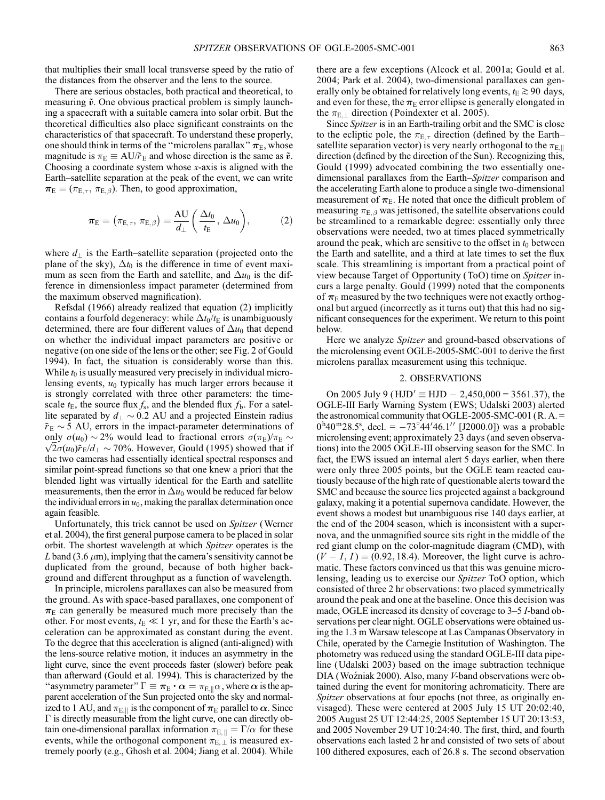that multiplies their small local transverse speed by the ratio of the distances from the observer and the lens to the source.

There are serious obstacles, both practical and theoretical, to measuring  $\tilde{v}$ . One obvious practical problem is simply launching a spacecraft with a suitable camera into solar orbit. But the theoretical difficulties also place significant constraints on the characteristics of that spacecraft. To understand these properly, one should think in terms of the "microlens parallax"  $\pi_E$ , whose magnitude is  $\pi_{\rm E} \equiv \text{AU}/\tilde{r}_{\rm E}$  and whose direction is the same as  $\tilde{v}$ . Choosing a coordinate system whose  $x$ -axis is aligned with the Earth–satellite separation at the peak of the event, we can write  $\pi_{\rm E} = (\pi_{\rm E, \tau}, \pi_{\rm E, \beta})$ . Then, to good approximation,

$$
\boldsymbol{\pi}_{\mathrm{E}} = (\pi_{\mathrm{E}, \tau}, \, \pi_{\mathrm{E}, \beta}) = \frac{\mathrm{AU}}{d_{\perp}} \bigg( \frac{\Delta t_0}{t_{\mathrm{E}}}, \, \Delta u_0 \bigg), \tag{2}
$$

where  $d_{\perp}$  is the Earth-satellite separation (projected onto the plane of the sky),  $\Delta t_0$  is the difference in time of event maximum as seen from the Earth and satellite, and  $\Delta u_0$  is the difference in dimensionless impact parameter (determined from the maximum observed magnification).

Refsdal (1966) already realized that equation (2) implicitly contains a fourfold degeneracy: while  $\Delta t_0/t_E$  is unambiguously determined, there are four different values of  $\Delta u_0$  that depend on whether the individual impact parameters are positive or negative (on one side of the lens or the other; see Fig. 2 of Gould 1994). In fact, the situation is considerably worse than this. While  $t_0$  is usually measured very precisely in individual microlensing events,  $u_0$  typically has much larger errors because it is strongly correlated with three other parameters: the timescale  $t_{\text{E}}$ , the source flux  $f_{\text{s}}$ , and the blended flux  $f_{\text{b}}$ . For a satellite separated by  $d_{\perp} \sim 0.2$  AU and a projected Einstein radius  $r_{\rm E} \sim 5$  AU, errors in the impact-parameter determinations of only  $\sigma(u_0) \sim 2\%$  would lead to fractional errors  $\sigma(\pi_{\rm E})/\pi_{\rm E} \sim$ only  $\sigma(u_0) \sim 2\%$  would lead to fractional errors  $\sigma(\pi_E)/\pi_E \sim \sqrt{2\sigma(u_0)\tilde{r}_E/d_\perp} \sim 70\%$ . However, Gould (1995) showed that if the two cameras had essentially identical spectral responses and similar point-spread functions so that one knew a priori that the blended light was virtually identical for the Earth and satellite measurements, then the error in  $\Delta u_0$  would be reduced far below the individual errors in  $u_0$ , making the parallax determination once again feasible.

Unfortunately, this trick cannot be used on Spitzer (Werner et al. 2004), the first general purpose camera to be placed in solar orbit. The shortest wavelength at which Spitzer operates is the L band (3.6  $\mu$ m), implying that the camera's sensitivity cannot be duplicated from the ground, because of both higher background and different throughput as a function of wavelength.

In principle, microlens parallaxes can also be measured from the ground. As with space-based parallaxes, one component of  $\pi_E$  can generally be measured much more precisely than the other. For most events,  $t_E \ll 1$  yr, and for these the Earth's acceleration can be approximated as constant during the event. To the degree that this acceleration is aligned (anti-aligned) with the lens-source relative motion, it induces an asymmetry in the light curve, since the event proceeds faster (slower) before peak than afterward (Gould et al. 1994). This is characterized by the "asymmetry parameter"  $\Gamma \equiv \pi_{\rm E} \cdot \alpha = \pi_{\rm E, \parallel} \alpha$ , where  $\alpha$  is the apparent acceleration of the Sun projected onto the sky and normalized to 1 AU, and  $\pi_{E, \parallel}$  is the component of  $\pi_E$  parallel to  $\alpha$ . Since - is directly measurable from the light curve, one can directly obtain one-dimensional parallax information  $\pi_{E, \parallel} = \Gamma/\alpha$  for these events, while the orthogonal component  $\pi_{E,\perp}$  is measured extremely poorly (e.g., Ghosh et al. 2004; Jiang et al. 2004). While there are a few exceptions (Alcock et al. 2001a; Gould et al. 2004; Park et al. 2004), two-dimensional parallaxes can generally only be obtained for relatively long events,  $t_E \ge 90$  days, and even for these, the  $\pi_E$  error ellipse is generally elongated in the  $\pi_{E,\perp}$  direction (Poindexter et al. 2005).

Since Spitzer is in an Earth-trailing orbit and the SMC is close to the ecliptic pole, the  $\pi_{E,\tau}$  direction (defined by the Earth– satellite separation vector) is very nearly orthogonal to the  $\pi_{E,\parallel}$ direction (defined by the direction of the Sun). Recognizing this, Gould (1999) advocated combining the two essentially onedimensional parallaxes from the Earth–Spitzer comparison and the accelerating Earth alone to produce a single two-dimensional measurement of  $\pi_{E}$ . He noted that once the difficult problem of measuring  $\pi_{E, \beta}$  was jettisoned, the satellite observations could be streamlined to a remarkable degree: essentially only three observations were needed, two at times placed symmetrically around the peak, which are sensitive to the offset in  $t_0$  between the Earth and satellite, and a third at late times to set the flux scale. This streamlining is important from a practical point of view because Target of Opportunity (ToO) time on Spitzer incurs a large penalty. Gould (1999) noted that the components of  $\pi_E$  measured by the two techniques were not exactly orthogonal but argued (incorrectly as it turns out) that this had no significant consequences for the experiment. We return to this point below.

Here we analyze *Spitzer* and ground-based observations of the microlensing event OGLE-2005-SMC-001 to derive the first microlens parallax measurement using this technique.

## 2. OBSERVATIONS

On 2005 July 9 (HJD'  $\equiv$  HJD  $- 2,450,000 = 3561.37$ ), the OGLE-III Early Warning System (EWS; Udalski 2003) alerted the astronomical community that OGLE-2005-SMC-001 (R. A. =  $0^{h}40^{m}28.5^{s}$ , decl. =  $-73^{\circ}44'46.1''$  [J2000.0]) was a probable microlensing event; approximately 23 days (and seven observations) into the 2005 OGLE-III observing season for the SMC. In fact, the EWS issued an internal alert 5 days earlier, when there were only three 2005 points, but the OGLE team reacted cautiously because of the high rate of questionable alerts toward the SMC and because the source lies projected against a background galaxy, making it a potential supernova candidate. However, the event shows a modest but unambiguous rise 140 days earlier, at the end of the 2004 season, which is inconsistent with a supernova, and the unmagnified source sits right in the middle of the red giant clump on the color-magnitude diagram (CMD), with  $(V - I, I) = (0.92, 18.4)$ . Moreover, the light curve is achromatic. These factors convinced us that this was genuine microlensing, leading us to exercise our Spitzer ToO option, which consisted of three 2 hr observations: two placed symmetrically around the peak and one at the baseline. Once this decision was made, OGLE increased its density of coverage to 3–5 *I*-band observations per clear night. OGLE observations were obtained using the 1.3 m Warsaw telescope at Las Campanas Observatory in Chile, operated by the Carnegie Institution of Washington. The photometry was reduced using the standard OGLE-III data pipeline (Udalski 2003) based on the image subtraction technique DIA (Woźniak 2000). Also, many V-band observations were obtained during the event for monitoring achromaticity. There are Spitzer observations at four epochs (not three, as originally envisaged). These were centered at 2005 July 15 UT 20:02:40, 2005 August 25 UT 12:44:25, 2005 September 15 UT 20:13:53, and 2005 November 29 UT 10:24:40. The first, third, and fourth observations each lasted 2 hr and consisted of two sets of about 100 dithered exposures, each of 26.8 s. The second observation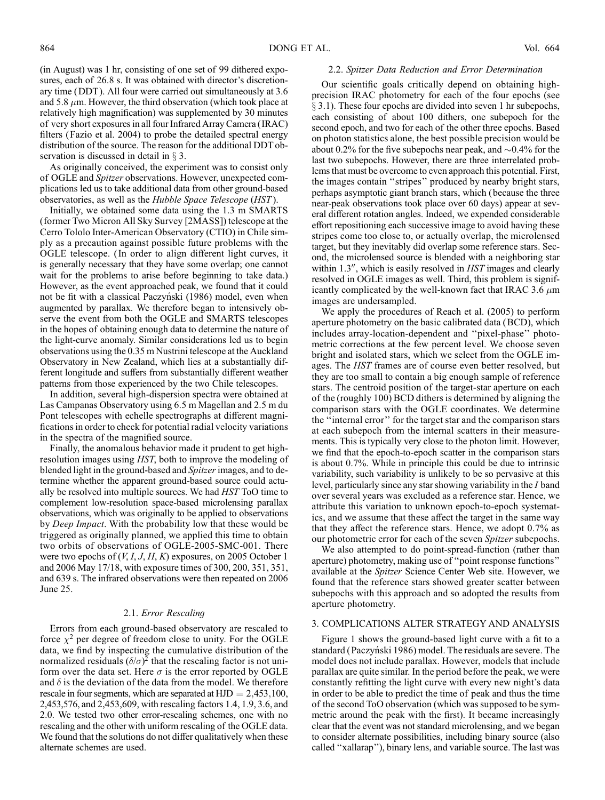(in August) was 1 hr, consisting of one set of 99 dithered exposures, each of 26.8 s. It was obtained with director's discretionary time (DDT ). All four were carried out simultaneously at 3.6 and 5.8  $\mu$ m. However, the third observation (which took place at relatively high magnification) was supplemented by 30 minutes of very short exposures in all four Infrared Array Camera ( IRAC) filters (Fazio et al. 2004) to probe the detailed spectral energy distribution of the source. The reason for the additional DDT observation is discussed in detail in  $\S 3$ .

As originally conceived, the experiment was to consist only of OGLE and Spitzer observations. However, unexpected complications led us to take additional data from other ground-based observatories, as well as the Hubble Space Telescope (HST ).

Initially, we obtained some data using the 1.3 m SMARTS (former Two Micron All Sky Survey [2MASS]) telescope at the Cerro Tololo Inter-American Observatory (CTIO) in Chile simply as a precaution against possible future problems with the OGLE telescope. ( In order to align different light curves, it is generally necessary that they have some overlap; one cannot wait for the problems to arise before beginning to take data.) However, as the event approached peak, we found that it could not be fit with a classical Paczyński (1986) model, even when augmented by parallax. We therefore began to intensively observe the event from both the OGLE and SMARTS telescopes in the hopes of obtaining enough data to determine the nature of the light-curve anomaly. Similar considerations led us to begin observations using the 0.35 m Nustrini telescope at the Auckland Observatory in New Zealand, which lies at a substantially different longitude and suffers from substantially different weather patterns from those experienced by the two Chile telescopes.

In addition, several high-dispersion spectra were obtained at Las Campanas Observatory using 6.5 m Magellan and 2.5 m du Pont telescopes with echelle spectrographs at different magnifications in order to check for potential radial velocity variations in the spectra of the magnified source.

Finally, the anomalous behavior made it prudent to get highresolution images using HST, both to improve the modeling of blended light in the ground-based and Spitzer images, and to determine whether the apparent ground-based source could actually be resolved into multiple sources. We had HST ToO time to complement low-resolution space-based microlensing parallax observations, which was originally to be applied to observations by *Deep Impact*. With the probability low that these would be triggered as originally planned, we applied this time to obtain two orbits of observations of OGLE-2005-SMC-001. There were two epochs of  $(V, I, J, H, K)$  exposures, on 2005 October 1 and 2006 May 17/18, with exposure times of 300, 200, 351, 351, and 639 s. The infrared observations were then repeated on 2006 June 25.

### 2.1. Error Rescaling

Errors from each ground-based observatory are rescaled to force  $\chi^2$  per degree of freedom close to unity. For the OGLE data, we find by inspecting the cumulative distribution of the normalized residuals  $(\delta/\sigma)^2$  that the rescaling factor is not uniform over the data set. Here  $\sigma$  is the error reported by OGLE and  $\delta$  is the deviation of the data from the model. We therefore rescale in four segments, which are separated at  $HJD = 2,453,100$ , 2,453,576, and 2,453,609, with rescaling factors 1.4, 1.9, 3.6, and 2.0. We tested two other error-rescaling schemes, one with no rescaling and the other with uniform rescaling of the OGLE data. We found that the solutions do not differ qualitatively when these alternate schemes are used.

### 2.2. Spitzer Data Reduction and Error Determination

Our scientific goals critically depend on obtaining highprecision IRAC photometry for each of the four epochs (see  $\S$  3.1). These four epochs are divided into seven 1 hr subepochs, each consisting of about 100 dithers, one subepoch for the second epoch, and two for each of the other three epochs. Based on photon statistics alone, the best possible precision would be about 0.2% for the five subepochs near peak, and  $\sim 0.4\%$  for the last two subepochs. However, there are three interrelated problems that must be overcome to even approach this potential. First, the images contain ''stripes'' produced by nearby bright stars, perhaps asymptotic giant branch stars, which (because the three near-peak observations took place over 60 days) appear at several different rotation angles. Indeed, we expended considerable effort repositioning each successive image to avoid having these stripes come too close to, or actually overlap, the microlensed target, but they inevitably did overlap some reference stars. Second, the microlensed source is blended with a neighboring star within  $1.3$ <sup>"</sup>, which is easily resolved in  $HST$  images and clearly resolved in OGLE images as well. Third, this problem is significantly complicated by the well-known fact that IRAC 3.6  $\mu$ m images are undersampled.

We apply the procedures of Reach et al. (2005) to perform aperture photometry on the basic calibrated data (BCD), which includes array-location-dependent and ''pixel-phase'' photometric corrections at the few percent level. We choose seven bright and isolated stars, which we select from the OGLE images. The HST frames are of course even better resolved, but they are too small to contain a big enough sample of reference stars. The centroid position of the target-star aperture on each of the (roughly 100) BCD dithers is determined by aligning the comparison stars with the OGLE coordinates. We determine the ''internal error'' for the target star and the comparison stars at each subepoch from the internal scatters in their measurements. This is typically very close to the photon limit. However, we find that the epoch-to-epoch scatter in the comparison stars is about 0.7%. While in principle this could be due to intrinsic variability, such variability is unlikely to be so pervasive at this level, particularly since any star showing variability in the I band over several years was excluded as a reference star. Hence, we attribute this variation to unknown epoch-to-epoch systematics, and we assume that these affect the target in the same way that they affect the reference stars. Hence, we adopt 0.7% as our photometric error for each of the seven Spitzer subepochs.

We also attempted to do point-spread-function (rather than aperture) photometry, making use of ''point response functions'' available at the Spitzer Science Center Web site. However, we found that the reference stars showed greater scatter between subepochs with this approach and so adopted the results from aperture photometry.

### 3. COMPLICATIONS ALTER STRATEGY AND ANALYSIS

Figure 1 shows the ground-based light curve with a fit to a standard (Paczyński 1986) model. The residuals are severe. The model does not include parallax. However, models that include parallax are quite similar. In the period before the peak, we were constantly refitting the light curve with every new night's data in order to be able to predict the time of peak and thus the time of the second ToO observation (which was supposed to be symmetric around the peak with the first). It became increasingly clear that the event was not standard microlensing, and we began to consider alternate possibilities, including binary source (also called ''xallarap''), binary lens, and variable source. The last was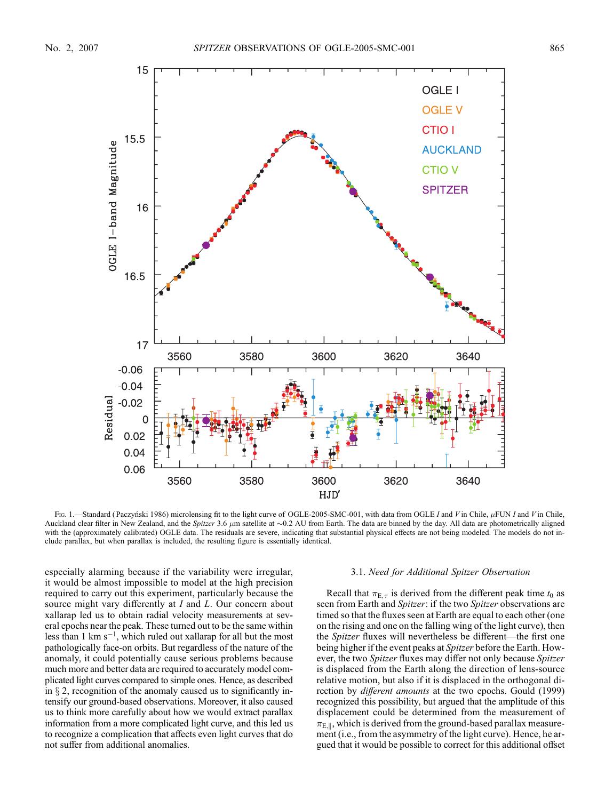

Fig. 1.—Standard (Paczyński 1986) microlensing fit to the light curve of OGLE-2005-SMC-001, with data from OGLE I and V in Chile, µFUN I and V in Chile, Auckland clear filter in New Zealand, and the Spitzer 3.6  $\mu$ m satellite at  $\sim$ 0.2 AU from Earth. The data are binned by the day. All data are photometrically aligned with the (approximately calibrated) OGLE data. The residuals are severe, indicating that substantial physical effects are not being modeled. The models do not include parallax, but when parallax is included, the resulting figure is essentially identical.

especially alarming because if the variability were irregular, it would be almost impossible to model at the high precision required to carry out this experiment, particularly because the source might vary differently at I and L. Our concern about xallarap led us to obtain radial velocity measurements at several epochs near the peak. These turned out to be the same within less than 1 km  $s^{-1}$ , which ruled out xallarap for all but the most pathologically face-on orbits. But regardless of the nature of the anomaly, it could potentially cause serious problems because much more and better data are required to accurately model complicated light curves compared to simple ones. Hence, as described in  $\S 2$ , recognition of the anomaly caused us to significantly intensify our ground-based observations. Moreover, it also caused us to think more carefully about how we would extract parallax information from a more complicated light curve, and this led us to recognize a complication that affects even light curves that do not suffer from additional anomalies.

### 3.1. Need for Additional Spitzer Observation

Recall that  $\pi_{E,\tau}$  is derived from the different peak time  $t_0$  as seen from Earth and Spitzer: if the two Spitzer observations are timed so that the fluxes seen at Earth are equal to each other (one on the rising and one on the falling wing of the light curve), then the Spitzer fluxes will nevertheless be different—the first one being higher if the event peaks at Spitzer before the Earth. However, the two Spitzer fluxes may differ not only because Spitzer is displaced from the Earth along the direction of lens-source relative motion, but also if it is displaced in the orthogonal direction by *different amounts* at the two epochs. Gould (1999) recognized this possibility, but argued that the amplitude of this displacement could be determined from the measurement of  $\pi_{E,\parallel}$ , which is derived from the ground-based parallax measurement (i.e., from the asymmetry of the light curve). Hence, he argued that it would be possible to correct for this additional offset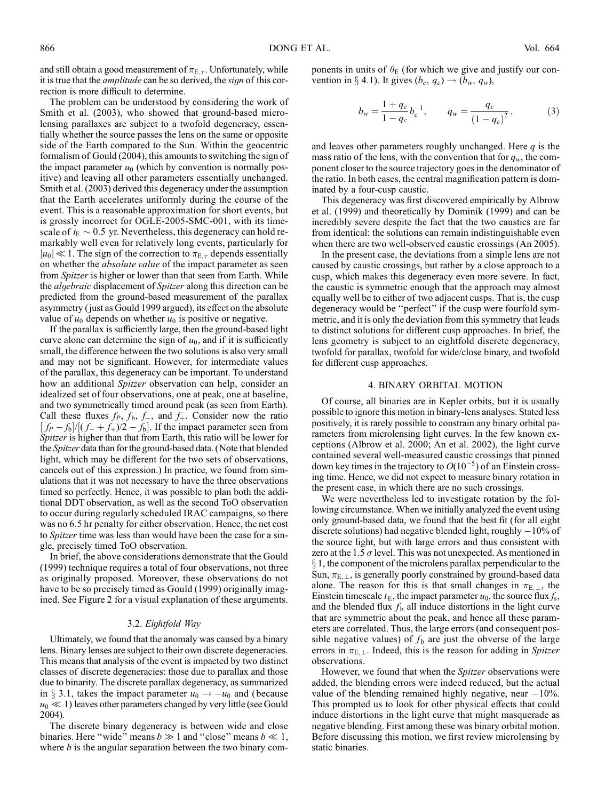and still obtain a good measurement of  $\pi_{E,\tau}$ . Unfortunately, while it is true that the amplitude can be so derived, the sign of this correction is more difficult to determine.

The problem can be understood by considering the work of Smith et al. (2003), who showed that ground-based microlensing parallaxes are subject to a twofold degeneracy, essentially whether the source passes the lens on the same or opposite side of the Earth compared to the Sun. Within the geocentric formalism of Gould (2004), this amounts to switching the sign of the impact parameter  $u_0$  (which by convention is normally positive) and leaving all other parameters essentially unchanged. Smith et al. (2003) derived this degeneracy under the assumption that the Earth accelerates uniformly during the course of the event. This is a reasonable approximation for short events, but is grossly incorrect for OGLE-2005-SMC-001, with its timescale of  $t_{\rm E} \sim 0.5$  yr. Nevertheless, this degeneracy can hold remarkably well even for relatively long events, particularly for  $|u_0|\ll1$ . The sign of the correction to  $\pi_{\text{E},\tau}$  depends essentially on whether the *absolute value* of the impact parameter as seen from *Spitzer* is higher or lower than that seen from Earth. While the *algebraic* displacement of *Spitzer* along this direction can be predicted from the ground-based measurement of the parallax asymmetry (just as Gould 1999 argued), its effect on the absolute value of  $u_0$  depends on whether  $u_0$  is positive or negative.

If the parallax is sufficiently large, then the ground-based light curve alone can determine the sign of  $u_0$ , and if it is sufficiently small, the difference between the two solutions is also very small and may not be significant. However, for intermediate values of the parallax, this degeneracy can be important. To understand how an additional *Spitzer* observation can help, consider an idealized set of four observations, one at peak, one at baseline, and two symmetrically timed around peak (as seen from Earth). Call these fluxes  $f_P$ ,  $f_b$ ,  $f_c$ , and  $f<sub>+</sub>$ . Consider now the ratio  $[f_P - f_b]/[(f_- + f_+)/2 - f_b]$ . If the impact parameter seen from Spitzer is higher than that from Earth, this ratio will be lower for the Spitzer data than for the ground-based data. (Note that blended light, which may be different for the two sets of observations, cancels out of this expression.) In practice, we found from simulations that it was not necessary to have the three observations timed so perfectly. Hence, it was possible to plan both the additional DDT observation, as well as the second ToO observation to occur during regularly scheduled IRAC campaigns, so there was no 6.5 hr penalty for either observation. Hence, the net cost to Spitzer time was less than would have been the case for a single, precisely timed ToO observation.

In brief, the above considerations demonstrate that the Gould (1999) technique requires a total of four observations, not three as originally proposed. Moreover, these observations do not have to be so precisely timed as Gould (1999) originally imagined. See Figure 2 for a visual explanation of these arguments.

### 3.2. Eightfold Way

Ultimately, we found that the anomaly was caused by a binary lens. Binary lenses are subject to their own discrete degeneracies. This means that analysis of the event is impacted by two distinct classes of discrete degeneracies: those due to parallax and those due to binarity. The discrete parallax degeneracy, as summarized in § 3.1, takes the impact parameter  $u_0 \rightarrow -u_0$  and (because  $u_0 \ll 1$ ) leaves other parameters changed by very little (see Gould 2004).

The discrete binary degeneracy is between wide and close binaries. Here "wide" means  $b \gg 1$  and "close" means  $b \ll 1$ , where  $b$  is the angular separation between the two binary com-

ponents in units of  $\theta_{\rm E}$  (for which we give and justify our convention in § 4.1). It gives  $(b_c, q_c) \rightarrow (b_w, q_w)$ ,

$$
b_w = \frac{1 + q_c}{1 - q_c} b_c^{-1}, \qquad q_w = \frac{q_c}{(1 - q_c)^2}, \tag{3}
$$

and leaves other parameters roughly unchanged. Here  $q$  is the mass ratio of the lens, with the convention that for  $q_w$ , the component closer to the source trajectory goes in the denominator of the ratio. In both cases, the central magnification pattern is dominated by a four-cusp caustic.

This degeneracy was first discovered empirically by Albrow et al. (1999) and theoretically by Dominik (1999) and can be incredibly severe despite the fact that the two caustics are far from identical: the solutions can remain indistinguishable even when there are two well-observed caustic crossings (An 2005).

In the present case, the deviations from a simple lens are not caused by caustic crossings, but rather by a close approach to a cusp, which makes this degeneracy even more severe. In fact, the caustic is symmetric enough that the approach may almost equally well be to either of two adjacent cusps. That is, the cusp degeneracy would be ''perfect'' if the cusp were fourfold symmetric, and it is only the deviation from this symmetry that leads to distinct solutions for different cusp approaches. In brief, the lens geometry is subject to an eightfold discrete degeneracy, twofold for parallax, twofold for wide/close binary, and twofold for different cusp approaches.

## 4. BINARY ORBITAL MOTION

Of course, all binaries are in Kepler orbits, but it is usually possible to ignore this motion in binary-lens analyses. Stated less positively, it is rarely possible to constrain any binary orbital parameters from microlensing light curves. In the few known exceptions (Albrow et al. 2000; An et al. 2002), the light curve contained several well-measured caustic crossings that pinned down key times in the trajectory to  $O(10^{-5})$  of an Einstein crossing time. Hence, we did not expect to measure binary rotation in the present case, in which there are no such crossings.

We were nevertheless led to investigate rotation by the following circumstance. When we initially analyzed the event using only ground-based data, we found that the best fit (for all eight discrete solutions) had negative blended light, roughly -10% of the source light, but with large errors and thus consistent with zero at the 1.5  $\sigma$  level. This was not unexpected. As mentioned in  $\S 1$ , the component of the microlens parallax perpendicular to the Sun,  $\pi_{E, \perp}$ , is generally poorly constrained by ground-based data alone. The reason for this is that small changes in  $\pi_{E,\perp}$ , the Einstein timescale  $t_{\rm E}$ , the impact parameter  $u_0$ , the source flux  $f_s$ , and the blended flux  $f<sub>b</sub>$  all induce distortions in the light curve that are symmetric about the peak, and hence all these parameters are correlated. Thus, the large errors (and consequent possible negative values) of  $f<sub>b</sub>$  are just the obverse of the large errors in  $\pi_{E,\perp}$ . Indeed, this is the reason for adding in Spitzer observations.

However, we found that when the Spitzer observations were added, the blending errors were indeed reduced, but the actual value of the blending remained highly negative, near  $-10\%$ . This prompted us to look for other physical effects that could induce distortions in the light curve that might masquerade as negative blending. First among these was binary orbital motion. Before discussing this motion, we first review microlensing by static binaries.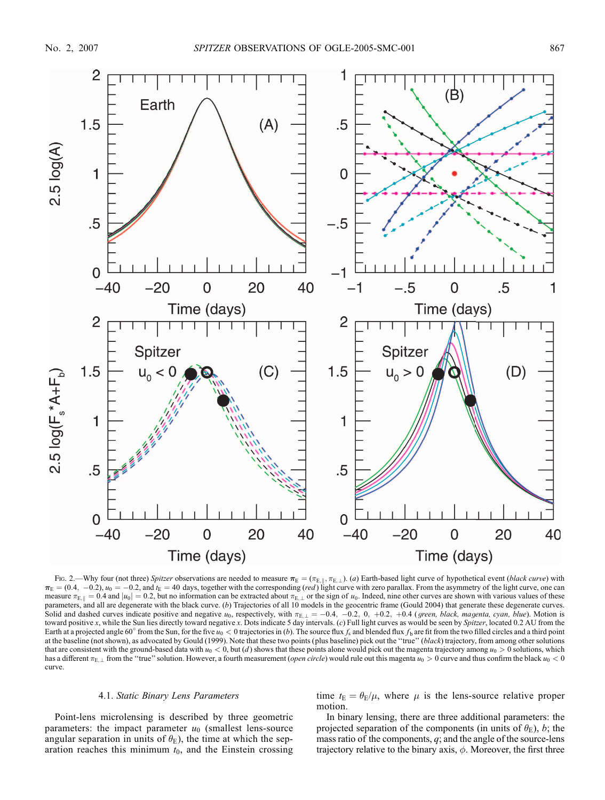

Fig. 2.—Why four (not three) Spitzer observations are needed to measure  $\pi_{\rm E} = (\pi_{\rm E, \parallel}, \pi_{\rm E, \perp})$ . (a) Earth-based light curve of hypothetical event (black curve) with  $\pi_E = (0.4, -0.2), u_0 = -0.2$ , and  $t_E = 40$  days, together with the corresponding (*red*) light curve with zero parallax. From the asymmetry of the light curve, one can measure  $\pi_{E,k} = 0.4$  and  $|u_0| = 0.2$ , but no information can be extracted about  $\pi_{E,k}$  or the sign of  $u_0$ . Indeed, nine other curves are shown with various values of these parameters, and all are degenerate with the black curve. (b) Trajectories of all 10 models in the geocentric frame (Gould 2004) that generate these degenerate curves. Solid and dashed curves indicate positive and negative  $u_0$ , respectively, with  $\pi_{E,L} = -0.4$ ,  $-0.2$ , 0,  $+0.2$ ,  $+0.4$  (green, black, magenta, cyan, blue). Motion is toward positive x, while the Sun lies directly toward negative x. Dots indicate 5 day intervals. (c) Full light curves as would be seen by Spitzer, located 0.2 AU from the Earth at a projected angle 60° from the Sun, for the five  $u_0 < 0$  trajectories in (b). The source flux  $f_s$  and blended flux  $f_b$  are fit from the two filled circles and a third point at the baseline (not shown), as advocated by Gould (1999). Note that these two points (plus baseline) pick out the "true" (black) trajectory, from among other solutions that are consistent with the ground-based data with  $u_0 < 0$ , but (d) shows that these points alone would pick out the magenta trajectory among  $u_0 > 0$  solutions, which has a different  $\pi_{E,\perp}$  from the "true" solution. However, a fourth measurement (*open circle*) would rule out this magenta  $u_0 > 0$  curve and thus confirm the black  $u_0 < 0$ curve.

#### 4.1. Static Binary Lens Parameters

Point-lens microlensing is described by three geometric parameters: the impact parameter  $u_0$  (smallest lens-source angular separation in units of  $\theta_{\rm E}$ ), the time at which the separation reaches this minimum  $t_0$ , and the Einstein crossing

time  $t_E = \theta_E/\mu$ , where  $\mu$  is the lens-source relative proper motion.

In binary lensing, there are three additional parameters: the projected separation of the components (in units of  $\theta_E$ ), b; the mass ratio of the components,  $q$ ; and the angle of the source-lens trajectory relative to the binary axis,  $\phi$ . Moreover, the first three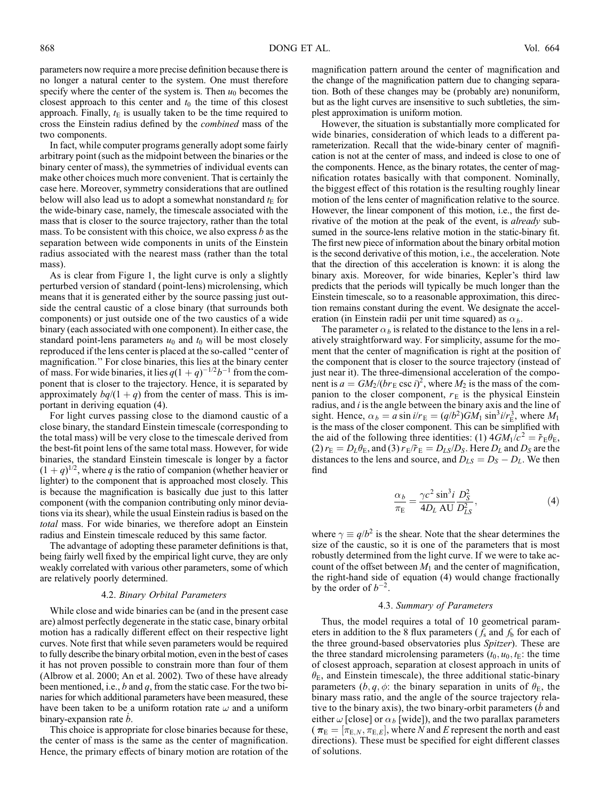parameters now require a more precise definition because there is no longer a natural center to the system. One must therefore specify where the center of the system is. Then  $u_0$  becomes the closest approach to this center and  $t_0$  the time of this closest approach. Finally,  $t_E$  is usually taken to be the time required to cross the Einstein radius defined by the combined mass of the two components.

In fact, while computer programs generally adopt some fairly arbitrary point (such as the midpoint between the binaries or the binary center of mass), the symmetries of individual events can make other choices much more convenient. That is certainly the case here. Moreover, symmetry considerations that are outlined below will also lead us to adopt a somewhat nonstandard  $t_{\rm E}$  for the wide-binary case, namely, the timescale associated with the mass that is closer to the source trajectory, rather than the total mass. To be consistent with this choice, we also express  $b$  as the separation between wide components in units of the Einstein radius associated with the nearest mass (rather than the total mass).

As is clear from Figure 1, the light curve is only a slightly perturbed version of standard ( point-lens) microlensing, which means that it is generated either by the source passing just outside the central caustic of a close binary (that surrounds both components) or just outside one of the two caustics of a wide binary (each associated with one component). In either case, the standard point-lens parameters  $u_0$  and  $t_0$  will be most closely reproduced if the lens center is placed at the so-called ''center of magnification.'' For close binaries, this lies at the binary center of mass. For wide binaries, it lies  $q(1+q)^{-1/2}b^{-1}$  from the component that is closer to the trajectory. Hence, it is separated by approximately  $bq/(1 + q)$  from the center of mass. This is important in deriving equation (4).

For light curves passing close to the diamond caustic of a close binary, the standard Einstein timescale (corresponding to the total mass) will be very close to the timescale derived from the best-fit point lens of the same total mass. However, for wide binaries, the standard Einstein timescale is longer by a factor  $(1 + q)^{1/2}$ , where q is the ratio of companion (whether heavier or lighter) to the component that is approached most closely. This is because the magnification is basically due just to this latter component (with the companion contributing only minor deviations via its shear), while the usual Einstein radius is based on the total mass. For wide binaries, we therefore adopt an Einstein radius and Einstein timescale reduced by this same factor.

The advantage of adopting these parameter definitions is that, being fairly well fixed by the empirical light curve, they are only weakly correlated with various other parameters, some of which are relatively poorly determined.

#### 4.2. Binary Orbital Parameters

While close and wide binaries can be (and in the present case are) almost perfectly degenerate in the static case, binary orbital motion has a radically different effect on their respective light curves. Note first that while seven parameters would be required to fully describe the binary orbital motion, even in the best of cases it has not proven possible to constrain more than four of them (Albrow et al. 2000; An et al. 2002). Two of these have already been mentioned, i.e.,  $b$  and  $q$ , from the static case. For the two binaries for which additional parameters have been measured, these have been taken to be a uniform rotation rate  $\omega$  and a uniform binary-expansion rate  $\dot{b}$ .

This choice is appropriate for close binaries because for these, the center of mass is the same as the center of magnification. Hence, the primary effects of binary motion are rotation of the magnification pattern around the center of magnification and the change of the magnification pattern due to changing separation. Both of these changes may be (probably are) nonuniform, but as the light curves are insensitive to such subtleties, the simplest approximation is uniform motion.

However, the situation is substantially more complicated for wide binaries, consideration of which leads to a different parameterization. Recall that the wide-binary center of magnification is not at the center of mass, and indeed is close to one of the components. Hence, as the binary rotates, the center of magnification rotates basically with that component. Nominally, the biggest effect of this rotation is the resulting roughly linear motion of the lens center of magnification relative to the source. However, the linear component of this motion, i.e., the first derivative of the motion at the peak of the event, is *already* subsumed in the source-lens relative motion in the static-binary fit. The first new piece of information about the binary orbital motion is the second derivative of this motion, i.e., the acceleration. Note that the direction of this acceleration is known: it is along the binary axis. Moreover, for wide binaries, Kepler's third law predicts that the periods will typically be much longer than the Einstein timescale, so to a reasonable approximation, this direction remains constant during the event. We designate the acceleration (in Einstein radii per unit time squared) as  $\alpha_b$ .

The parameter  $\alpha_b$  is related to the distance to the lens in a relatively straightforward way. For simplicity, assume for the moment that the center of magnification is right at the position of the component that is closer to the source trajectory (instead of just near it). The three-dimensional acceleration of the component is  $a = GM_2 / (b r_E \csc i)^2$ , where  $M_2$  is the mass of the companion to the closer component,  $r_E$  is the physical Einstein radius, and  $i$  is the angle between the binary axis and the line of sight. Hence,  $\alpha_b = a \sin(i/r_E) = (q/b^2)GM_1 \sin^3(i/r_E^3)$ , where  $M_1$ is the mass of the closer component. This can be simplified with the aid of the following three identities: (1)  $4GM_1/c^2 = \tilde{r}_E \theta_E$ , (2)  $r_{\rm E} = D_L \theta_{\rm E}$ , and (3)  $r_{\rm E}/\tilde{r}_{\rm E} = D_{LS}/D_S$ . Here  $D_L$  and  $D_S$  are the distances to the lens and source, and  $D_{LS} = D_S - D_L$ . We then find

$$
\frac{\alpha_b}{\pi_E} = \frac{\gamma c^2 \sin^3 i}{4D_L \text{ AU}} \frac{D_S^2}{D_{LS}^2},\tag{4}
$$

where  $\gamma \equiv q/b^2$  is the shear. Note that the shear determines the size of the caustic, so it is one of the parameters that is most robustly determined from the light curve. If we were to take account of the offset between  $M_1$  and the center of magnification, the right-hand side of equation (4) would change fractionally by the order of  $b^{-2}$ .

## 4.3. Summary of Parameters

Thus, the model requires a total of 10 geometrical parameters in addition to the 8 flux parameters ( $f_s$  and  $f_b$  for each of the three ground-based observatories plus Spitzer). These are the three standard microlensing parameters  $(t_0, u_0, t_E)$ : the time of closest approach, separation at closest approach in units of  $\theta_{\rm E}$ , and Einstein timescale), the three additional static-binary parameters  $(b, q, \phi)$ : the binary separation in units of  $\theta_{\rm E}$ , the binary mass ratio, and the angle of the source trajectory relative to the binary axis), the two binary-orbit parameters  $(\dot{b} \text{ and} \dot{c})$ either  $\omega$  [close] or  $\alpha_b$  [wide]), and the two parallax parameters  $(\pi_{\rm E} = [\pi_{\rm E,N}, \pi_{\rm E,E}]$ , where N and E represent the north and east directions). These must be specified for eight different classes of solutions.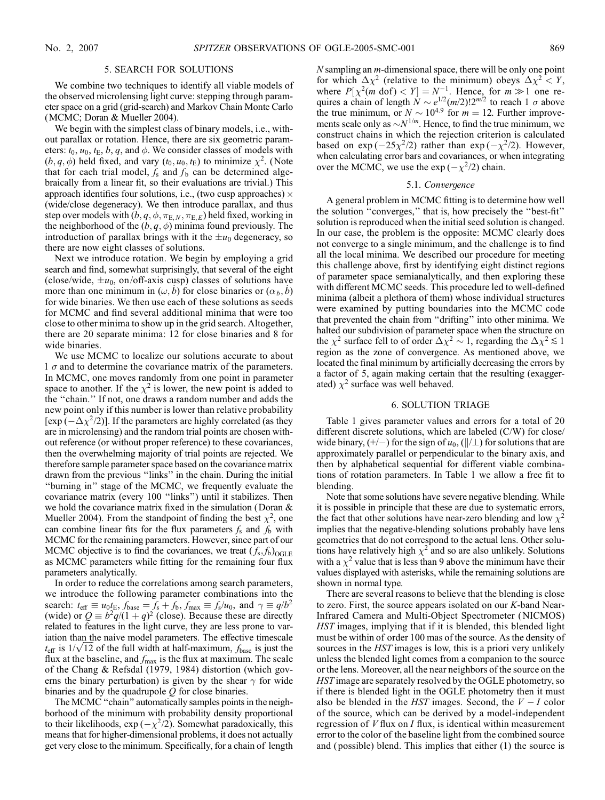### 5. SEARCH FOR SOLUTIONS

We combine two techniques to identify all viable models of the observed microlensing light curve: stepping through parameter space on a grid (grid-search) and Markov Chain Monte Carlo (MCMC; Doran & Mueller 2004).

We begin with the simplest class of binary models, i.e., without parallax or rotation. Hence, there are six geometric parameters:  $t_0$ ,  $u_0$ ,  $t_E$ ,  $b$ ,  $q$ , and  $\phi$ . We consider classes of models with  $(b, q, \phi)$  held fixed, and vary  $(t_0, u_0, t_E)$  to minimize  $\chi^2$ . (Note that for each trial model,  $f_s$  and  $f_b$  can be determined algebraically from a linear fit, so their evaluations are trivial.) This approach identifies four solutions, i.e., (two cusp approaches)  $\times$ (wide/close degeneracy). We then introduce parallax, and thus step over models with  $(b, q, \phi, \pi_{E,N}, \pi_{E,E})$  held fixed, working in the neighborhood of the  $(b, q, \phi)$  minima found previously. The introduction of parallax brings with it the  $\pm u_0$  degeneracy, so there are now eight classes of solutions.

Next we introduce rotation. We begin by employing a grid search and find, somewhat surprisingly, that several of the eight (close/wide,  $\pm u_0$ , on/off-axis cusp) classes of solutions have more than one minimum in  $(\omega, \dot{b})$  for close binaries or  $(\alpha_b, \dot{b})$ for wide binaries. We then use each of these solutions as seeds for MCMC and find several additional minima that were too close to other minima to show up in the grid search. Altogether, there are 20 separate minima: 12 for close binaries and 8 for wide binaries.

We use MCMC to localize our solutions accurate to about 1  $\sigma$  and to determine the covariance matrix of the parameters. In MCMC, one moves randomly from one point in parameter space to another. If the  $\chi^2$  is lower, the new point is added to the ''chain.'' If not, one draws a random number and adds the new point only if this number is lower than relative probability [ $\exp(-\Delta \chi^2/2)$ ]. If the parameters are highly correlated (as they are in microlensing) and the random trial points are chosen without reference (or without proper reference) to these covariances, then the overwhelming majority of trial points are rejected. We therefore sample parameter space based on the covariance matrix drawn from the previous ''links'' in the chain. During the initial ''burning in'' stage of the MCMC, we frequently evaluate the covariance matrix (every 100 ''links'') until it stabilizes. Then we hold the covariance matrix fixed in the simulation (Doran & Mueller 2004). From the standpoint of finding the best  $\chi^2$ , one can combine linear fits for the flux parameters  $f_s$  and  $f_b$  with MCMC for the remaining parameters. However, since part of our MCMC objective is to find the covariances, we treat  $(f_s, f_b)_{\text{OGLE}}$ as MCMC parameters while fitting for the remaining four flux parameters analytically.

In order to reduce the correlations among search parameters, we introduce the following parameter combinations into the search:  $t_{\text{eff}} \equiv u_0 t_{\text{E}}$ ,  $f_{\text{base}} = \overline{f_s} + f_b$ ,  $f_{\text{max}} \equiv f_s/u_0$ , and  $\gamma \equiv q/b^2$ (wide) or  $Q \equiv b^2 q/(1 + q)^2$  (close). Because these are directly related to features in the light curve, they are less prone to variation than the naive model parameters. The effective timescale ration than the naive model parameters. The effective timescale  $t_{\text{eff}}$  is  $1/\sqrt{12}$  of the full width at half-maximum,  $f_{\text{base}}$  is just the flux at the baseline, and  $f_{\text{max}}$  is the flux at maximum. The scale of the Chang & Refsdal (1979, 1984) distortion (which governs the binary perturbation) is given by the shear  $\gamma$  for wide binaries and by the quadrupole  $Q$  for close binaries.

The MCMC ''chain'' automatically samples points in the neighborhood of the minimum with probability density proportional to their likelihoods,  $\exp(-\chi^2/2)$ . Somewhat paradoxically, this means that for higher-dimensional problems, it does not actually get very close to the minimum. Specifically, for a chain of length  $N$  sampling an  $m$ -dimensional space, there will be only one point for which  $\Delta \chi^2$  (relative to the minimum) obeys  $\Delta \chi^2 < Y$ , where  $P[\chi^2(m \text{ dof}) < Y] = N^{-1}$ . Hence, for  $m \gg 1$  one requires a chain of length  $N \sim e^{1/2} (m/2)! 2^{m/2}$  to reach 1  $\sigma$  above the true minimum, or  $N \sim 10^{4.9}$  for  $m = 12$ . Further improvements scale only as  $\sim N^{1/m}$ . Hence, to find the true minimum, we construct chains in which the rejection criterion is calculated based on  $\exp(-25\chi^2/2)$  rather than  $\exp(-\chi^2/2)$ . However, when calculating error bars and covariances, or when integrating over the MCMC, we use the  $\exp(-\chi^2/2)$  chain.

# 5.1. Convergence

A general problem in MCMC fitting is to determine how well the solution ''converges,'' that is, how precisely the ''best-fit'' solution is reproduced when the initial seed solution is changed. In our case, the problem is the opposite: MCMC clearly does not converge to a single minimum, and the challenge is to find all the local minima. We described our procedure for meeting this challenge above, first by identifying eight distinct regions of parameter space semianalytically, and then exploring these with different MCMC seeds. This procedure led to well-defined minima (albeit a plethora of them) whose individual structures were examined by putting boundaries into the MCMC code that prevented the chain from ''drifting'' into other minima. We halted our subdivision of parameter space when the structure on the  $\chi^2$  surface fell to of order  $\Delta \chi^2 \sim 1$ , regarding the  $\Delta \chi^2 \lesssim 1$ region as the zone of convergence. As mentioned above, we located the final minimum by artificially decreasing the errors by a factor of 5, again making certain that the resulting (exaggerated)  $\chi^2$  surface was well behaved.

## 6. SOLUTION TRIAGE

Table 1 gives parameter values and errors for a total of 20 different discrete solutions, which are labeled (C/W) for close/ wide binary,  $(+/-)$  for the sign of  $u_0$ ,  $(\frac{||}{\bot})$  for solutions that are approximately parallel or perpendicular to the binary axis, and then by alphabetical sequential for different viable combinations of rotation parameters. In Table 1 we allow a free fit to blending.

Note that some solutions have severe negative blending. While it is possible in principle that these are due to systematic errors, the fact that other solutions have near-zero blending and low  $\chi^2$ implies that the negative-blending solutions probably have lens geometries that do not correspond to the actual lens. Other solutions have relatively high  $\chi^2$  and so are also unlikely. Solutions with a  $\chi^2$  value that is less than 9 above the minimum have their values displayed with asterisks, while the remaining solutions are shown in normal type.

There are several reasons to believe that the blending is close to zero. First, the source appears isolated on our K-band Near-Infrared Camera and Multi-Object Spectrometer (NICMOS) HST images, implying that if it is blended, this blended light must be within of order 100 mas of the source. As the density of sources in the *HST* images is low, this is a priori very unlikely unless the blended light comes from a companion to the source or the lens. Moreover, all the near neighbors of the source on the HST image are separately resolved by the OGLE photometry, so if there is blended light in the OGLE photometry then it must also be blended in the  $HST$  images. Second, the  $V-I$  color of the source, which can be derived by a model-independent regression of V flux on I flux, is identical within measurement error to the color of the baseline light from the combined source and ( possible) blend. This implies that either (1) the source is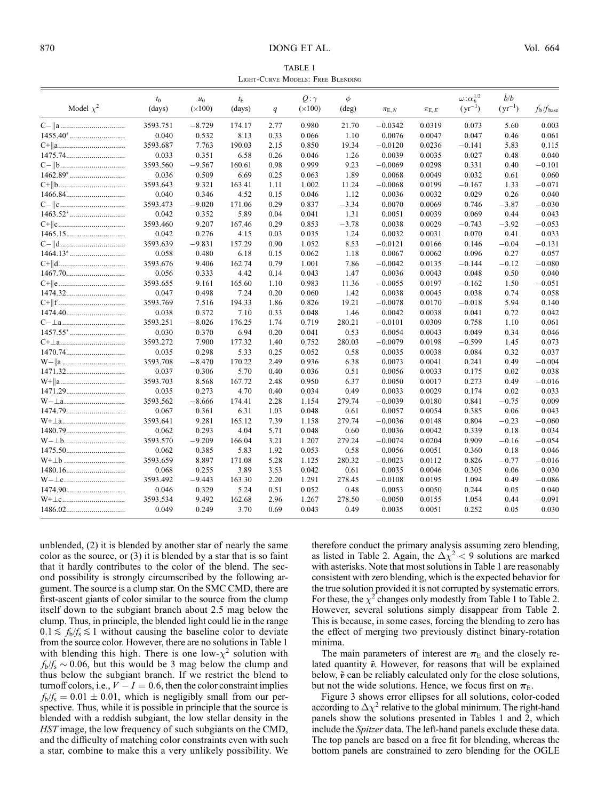TABLE 1 Light-Curve Models: Free Blending

|                                                                                  | $t_0$    | $u_0$          | $t_{\rm E}$ |      | $Q:\gamma$     | $\phi$         |             |             | $\omega \colon \alpha_b^{1/2}$ | $\dot{b}/b$ |                          |
|----------------------------------------------------------------------------------|----------|----------------|-------------|------|----------------|----------------|-------------|-------------|--------------------------------|-------------|--------------------------|
| Model $\chi^2$                                                                   | (days)   | $(\times 100)$ | (days)      | q    | $(\times 100)$ | $(\text{deg})$ | $\pi_{E,N}$ | $\pi_{E,E}$ | $(yr^{-1})$                    | $(yr^{-1})$ | $f_{\rm b}/f_{\rm base}$ |
|                                                                                  | 3593.751 | $-8.729$       | 174.17      | 2.77 | 0.980          | 21.70          | $-0.0342$   | 0.0319      | 0.073                          | 5.60        | 0.003                    |
|                                                                                  | 0.040    | 0.532          | 8.13        | 0.33 | 0.066          | 1.10           | 0.0076      | 0.0047      | 0.047                          | 0.46        | 0.061                    |
|                                                                                  | 3593.687 | 7.763          | 190.03      | 2.15 | 0.850          | 19.34          | $-0.0120$   | 0.0236      | $-0.141$                       | 5.83        | 0.115                    |
|                                                                                  | 0.033    | 0.351          | 6.58        | 0.26 | 0.046          | 1.26           | 0.0039      | 0.0035      | 0.027                          | 0.48        | 0.040                    |
|                                                                                  | 3593.560 | $-9.567$       | 160.61      | 0.98 | 0.999          | 9.23           | $-0.0069$   | 0.0298      | 0.331                          | 0.40        | $-0.101$                 |
|                                                                                  | 0.036    | 0.509          | 6.69        | 0.25 | 0.063          | 1.89           | 0.0068      | 0.0049      | 0.032                          | 0.61        | 0.060                    |
|                                                                                  | 3593.643 | 9.321          | 163.41      | 1.11 | 1.002          | 11.24          | $-0.0068$   | 0.0199      | $-0.167$                       | 1.33        | $-0.071$                 |
|                                                                                  | 0.040    | 0.346          | 4.52        | 0.15 | 0.046          | 1.12           | 0.0036      | 0.0032      | 0.029                          | 0.26        | 0.040                    |
|                                                                                  | 3593.473 | $-9.020$       | 171.06      | 0.29 | 0.837          | $-3.34$        | 0.0070      | 0.0069      | 0.746                          | $-3.87$     | $-0.030$                 |
|                                                                                  | 0.042    | 0.352          | 5.89        | 0.04 | 0.041          | 1.31           | 0.0051      | 0.0039      | 0.069                          | 0.44        | 0.043                    |
|                                                                                  | 3593.460 | 9.207          | 167.46      | 0.29 | 0.853          | $-3.78$        | 0.0038      | 0.0029      | $-0.743$                       | $-3.92$     | $-0.053$                 |
|                                                                                  | 0.042    | 0.276          | 4.15        | 0.03 | 0.035          | 1.24           | 0.0032      | 0.0031      | 0.070                          | 0.41        | 0.033                    |
|                                                                                  | 3593.639 | $-9.831$       | 157.29      | 0.90 | 1.052          | 8.53           | $-0.0121$   | 0.0166      | 0.146                          | $-0.04$     | $-0.131$                 |
|                                                                                  | 0.058    | 0.480          | 6.18        | 0.15 | 0.062          | 1.18           | 0.0067      | 0.0062      | 0.096                          | 0.27        | 0.057                    |
| $C+  d$                                                                          | 3593.676 | 9.406          | 162.74      | 0.79 | 1.001          | 7.86           | $-0.0042$   | 0.0135      | $-0.144$                       | $-0.12$     | $-0.080$                 |
|                                                                                  | 0.056    | 0.333          | 4.42        | 0.14 | 0.043          | 1.47           | 0.0036      | 0.0043      | 0.048                          | 0.50        | 0.040                    |
|                                                                                  | 3593.655 | 9.161          | 165.60      | 1.10 | 0.983          | 11.36          | $-0.0055$   | 0.0197      | $-0.162$                       | 1.50        | $-0.051$                 |
|                                                                                  | 0.047    | 0.498          | 7.24        | 0.20 | 0.060          | 1.42           | 0.0038      | 0.0045      | 0.038                          | 0.74        | 0.058                    |
|                                                                                  | 3593.769 | 7.516          | 194.33      | 1.86 | 0.826          | 19.21          | $-0.0078$   | 0.0170      | $-0.018$                       | 5.94        | 0.140                    |
|                                                                                  | 0.038    | 0.372          | 7.10        | 0.33 | 0.048          | 1.46           | 0.0042      | 0.0038      | 0.041                          | 0.72        | 0.042                    |
|                                                                                  | 3593.251 | $-8.026$       | 176.25      | 1.74 | 0.719          | 280.21         | $-0.0101$   | 0.0309      | 0.758                          | 1.10        | 0.061                    |
| $1457.55^{*}\cdots\cdots\cdots\cdots\cdots\cdots\cdots\cdots\cdots$              | 0.030    | 0.370          | 6.94        | 0.20 | 0.041          | 0.53           | 0.0054      | 0.0043      | 0.049                          | 0.34        | 0.046                    |
|                                                                                  | 3593.272 | 7.900          | 177.32      | 1.40 | 0.752          | 280.03         | $-0.0079$   | 0.0198      | $-0.599$                       | 1.45        | 0.073                    |
|                                                                                  | 0.035    | 0.298          | 5.33        | 0.25 | 0.052          | 0.58           | 0.0035      | 0.0038      | 0.084                          | 0.32        | 0.037                    |
|                                                                                  | 3593.708 | $-8.470$       | 170.22      | 2.49 | 0.936          | 6.38           | 0.0073      | 0.0041      | 0.241                          | 0.49        | $-0.004$                 |
|                                                                                  | 0.037    | 0.306          | 5.70        | 0.40 | 0.036          | 0.51           | 0.0056      | 0.0033      | 0.175                          | 0.02        | 0.038                    |
| W+  a                                                                            | 3593.703 | 8.568          | 167.72      | 2.48 | 0.950          | 6.37           | 0.0050      | 0.0017      | 0.273                          | 0.49        | $-0.016$                 |
|                                                                                  | 0.035    | 0.273          | 4.70        | 0.40 | 0.034          | 0.49           | 0.0033      | 0.0029      | 0.174                          | 0.02        | 0.033                    |
|                                                                                  | 3593.562 | $-8.666$       | 174.41      | 2.28 | 1.154          | 279.74         | $-0.0039$   | 0.0180      | 0.841                          | $-0.75$     | 0.009                    |
|                                                                                  | 0.067    | 0.361          | 6.31        | 1.03 | 0.048          | 0.61           | 0.0057      | 0.0054      | 0.385                          | 0.06        | 0.043                    |
|                                                                                  | 3593.641 | 9.281          | 165.12      | 7.39 | 1.158          | 279.74         | $-0.0036$   | 0.0148      | 0.804                          | $-0.23$     | $-0.060$                 |
| 1480.79                                                                          | 0.062    | 0.293          | 4.04        | 5.71 | 0.048          | 0.60           | 0.0036      | 0.0042      | 0.339                          | 0.18        | 0.034                    |
| $\mathbf{W-}\bot\mathbf{b}$                                                      | 3593.570 | $-9.209$       | 166.04      | 3.21 | 1.207          | 279.24         | $-0.0074$   | 0.0204      | 0.909                          | $-0.16$     | $-0.054$                 |
|                                                                                  | 0.062    | 0.385          | 5.83        | 1.92 | 0.053          | 0.58           | 0.0056      | 0.0051      | 0.360                          | 0.18        | 0.046                    |
| $W^+ \perp b$                                                                    | 3593.659 | 8.897          | 171.08      | 5.28 | 1.125          | 280.32         | $-0.0023$   | 0.0112      | 0.826                          | $-0.77$     | $-0.016$                 |
|                                                                                  | 0.068    | 0.255          | 3.89        | 3.53 | 0.042          | 0.61           | 0.0035      | 0.0046      | 0.305                          | 0.06        | 0.030                    |
|                                                                                  | 3593.492 | $-9.443$       | 163.30      | 2.20 | 1.291          | 278.45         | $-0.0108$   | 0.0195      | 1.094                          | 0.49        | $-0.086$                 |
|                                                                                  | 0.046    | 0.329          | 5.24        | 0.51 | 0.052          | 0.48           | 0.0053      | 0.0050      | 0.244                          | 0.05        | 0.040                    |
| $\mathbf{W} {+} \bot \mathbf{c} {.} {.} {.} {.} {.} {.} {.} {.} {.} {.} {.} {.}$ | 3593.534 | 9.492          | 162.68      | 2.96 | 1.267          | 278.50         | $-0.0050$   | 0.0155      | 1.054                          | 0.44        | $-0.091$                 |
|                                                                                  | 0.049    | 0.249          | 3.70        | 0.69 | 0.043          | 0.49           | 0.0035      | 0.0051      | 0.252                          | 0.05        | 0.030                    |

unblended, (2) it is blended by another star of nearly the same color as the source, or (3) it is blended by a star that is so faint that it hardly contributes to the color of the blend. The second possibility is strongly circumscribed by the following argument. The source is a clump star. On the SMC CMD, there are first-ascent giants of color similar to the source from the clump itself down to the subgiant branch about 2.5 mag below the clump. Thus, in principle, the blended light could lie in the range  $0.1 \le f_{\rm b}/f_{\rm s} \le 1$  without causing the baseline color to deviate from the source color. However, there are no solutions in Table 1 with blending this high. There is one low- $\chi^2$  solution with  $f<sub>b</sub>/f<sub>s</sub> \sim 0.06$ , but this would be 3 mag below the clump and thus below the subgiant branch. If we restrict the blend to turnoff colors, i.e.,  $V - I = 0.6$ , then the color constraint implies  $f<sub>b</sub>/f<sub>s</sub> = 0.01 \pm 0.01$ , which is negligibly small from our perspective. Thus, while it is possible in principle that the source is blended with a reddish subgiant, the low stellar density in the HST image, the low frequency of such subgiants on the CMD, and the difficulty of matching color constraints even with such a star, combine to make this a very unlikely possibility. We therefore conduct the primary analysis assuming zero blending, as listed in Table 2. Again, the  $\Delta \chi^2$  < 9 solutions are marked with asterisks. Note that most solutions in Table 1 are reasonably consistent with zero blending, which is the expected behavior for the true solution provided it is not corrupted by systematic errors. For these, the  $\chi^2$  changes only modestly from Table 1 to Table 2. However, several solutions simply disappear from Table 2. This is because, in some cases, forcing the blending to zero has the effect of merging two previously distinct binary-rotation minima.

The main parameters of interest are  $\pi_{\text{E}}$  and the closely related quantity  $\tilde{v}$ . However, for reasons that will be explained below,  $\tilde{v}$  can be reliably calculated only for the close solutions, but not the wide solutions. Hence, we focus first on  $\pi_{E}$ .

Figure 3 shows error ellipses for all solutions, color-coded according to  $\Delta \chi^2$  relative to the global minimum. The right-hand panels show the solutions presented in Tables 1 and 2, which include the Spitzer data. The left-hand panels exclude these data. The top panels are based on a free fit for blending, whereas the bottom panels are constrained to zero blending for the OGLE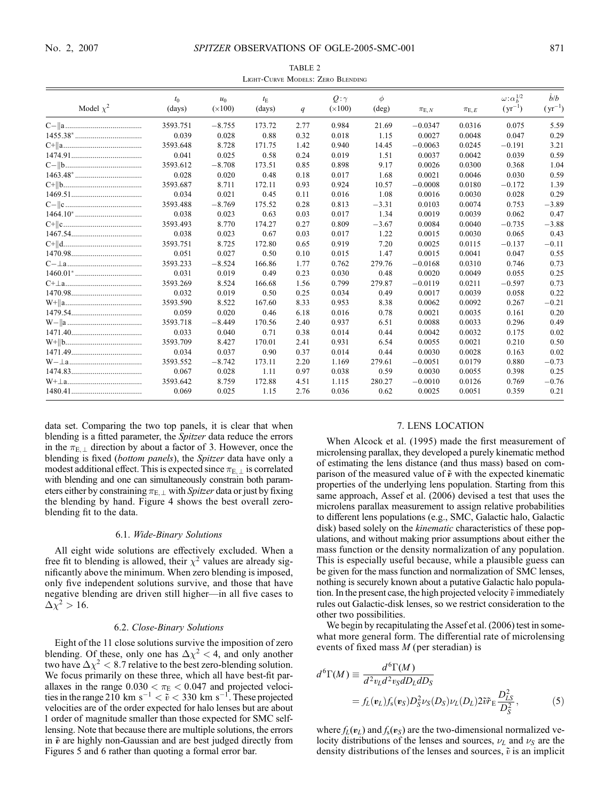| TABLE 2                           |  |  |  |  |  |  |  |  |
|-----------------------------------|--|--|--|--|--|--|--|--|
| LIGHT-CURVE MODELS: ZERO BLENDING |  |  |  |  |  |  |  |  |

|                | $t_0$    | $u_0$          | $t_{\rm E}$ |      | $Q:\gamma$     | $\phi$  |              |             | $\omega \colon \alpha_b^{1/2}$ | $\dot{b}/b$ |
|----------------|----------|----------------|-------------|------|----------------|---------|--------------|-------------|--------------------------------|-------------|
| Model $\chi^2$ | (days)   | $(\times 100)$ | (days)      | q    | $(\times 100)$ | (deg)   | $\pi_{E, N}$ | $\pi_{E,E}$ | $(yr^{-1})$                    | $(yr^{-1})$ |
|                | 3593.751 | $-8.755$       | 173.72      | 2.77 | 0.984          | 21.69   | $-0.0347$    | 0.0316      | 0.075                          | 5.59        |
|                | 0.039    | 0.028          | 0.88        | 0.32 | 0.018          | 1.15    | 0.0027       | 0.0048      | 0.047                          | 0.29        |
|                | 3593.648 | 8.728          | 171.75      | 1.42 | 0.940          | 14.45   | $-0.0063$    | 0.0245      | $-0.191$                       | 3.21        |
|                | 0.041    | 0.025          | 0.58        | 0.24 | 0.019          | 1.51    | 0.0037       | 0.0042      | 0.039                          | 0.59        |
|                | 3593.612 | $-8.708$       | 173.51      | 0.85 | 0.898          | 9.17    | 0.0026       | 0.0300      | 0.368                          | 1.04        |
|                | 0.028    | 0.020          | 0.48        | 0.18 | 0.017          | 1.68    | 0.0021       | 0.0046      | 0.030                          | 0.59        |
|                | 3593.687 | 8.711          | 172.11      | 0.93 | 0.924          | 10.57   | $-0.0008$    | 0.0180      | $-0.172$                       | 1.39        |
|                | 0.034    | 0.021          | 0.45        | 0.11 | 0.016          | 1.08    | 0.0016       | 0.0030      | 0.028                          | 0.29        |
|                | 3593.488 | $-8.769$       | 175.52      | 0.28 | 0.813          | $-3.31$ | 0.0103       | 0.0074      | 0.753                          | $-3.89$     |
|                | 0.038    | 0.023          | 0.63        | 0.03 | 0.017          | 1.34    | 0.0019       | 0.0039      | 0.062                          | 0.47        |
|                | 3593.493 | 8.770          | 174.27      | 0.27 | 0.809          | $-3.67$ | 0.0084       | 0.0040      | $-0.735$                       | $-3.88$     |
| 1467.54        | 0.038    | 0.023          | 0.67        | 0.03 | 0.017          | 1.22    | 0.0015       | 0.0030      | 0.065                          | 0.43        |
|                | 3593.751 | 8.725          | 172.80      | 0.65 | 0.919          | 7.20    | 0.0025       | 0.0115      | $-0.137$                       | $-0.11$     |
|                | 0.051    | 0.027          | 0.50        | 0.10 | 0.015          | 1.47    | 0.0015       | 0.0041      | 0.047                          | 0.55        |
|                | 3593.233 | $-8.524$       | 166.86      | 1.77 | 0.762          | 279.76  | $-0.0168$    | 0.0310      | 0.746                          | 0.73        |
|                | 0.031    | 0.019          | 0.49        | 0.23 | 0.030          | 0.48    | 0.0020       | 0.0049      | 0.055                          | 0.25        |
|                | 3593.269 | 8.524          | 166.68      | 1.56 | 0.799          | 279.87  | $-0.0119$    | 0.0211      | $-0.597$                       | 0.73        |
|                | 0.032    | 0.019          | 0.50        | 0.25 | 0.034          | 0.49    | 0.0017       | 0.0039      | 0.058                          | 0.22        |
|                | 3593.590 | 8.522          | 167.60      | 8.33 | 0.953          | 8.38    | 0.0062       | 0.0092      | 0.267                          | $-0.21$     |
|                | 0.059    | 0.020          | 0.46        | 6.18 | 0.016          | 0.78    | 0.0021       | 0.0035      | 0.161                          | 0.20        |
|                | 3593.718 | $-8.449$       | 170.56      | 2.40 | 0.937          | 6.51    | 0.0088       | 0.0033      | 0.296                          | 0.49        |
|                | 0.033    | 0.040          | 0.71        | 0.38 | 0.014          | 0.44    | 0.0042       | 0.0032      | 0.175                          | 0.02        |
|                | 3593.709 | 8.427          | 170.01      | 2.41 | 0.931          | 6.54    | 0.0055       | 0.0021      | 0.210                          | 0.50        |
|                | 0.034    | 0.037          | 0.90        | 0.37 | 0.014          | 0.44    | 0.0030       | 0.0028      | 0.163                          | 0.02        |
|                | 3593.552 | $-8.742$       | 173.11      | 2.20 | 1.169          | 279.61  | $-0.0051$    | 0.0179      | 0.880                          | $-0.73$     |
|                | 0.067    | 0.028          | 1.11        | 0.97 | 0.038          | 0.59    | 0.0030       | 0.0055      | 0.398                          | 0.25        |
|                | 3593.642 | 8.759          | 172.88      | 4.51 | 1.115          | 280.27  | $-0.0010$    | 0.0126      | 0.769                          | $-0.76$     |
|                | 0.069    | 0.025          | 1.15        | 2.76 | 0.036          | 0.62    | 0.0025       | 0.0051      | 0.359                          | 0.21        |

data set. Comparing the two top panels, it is clear that when blending is a fitted parameter, the *Spitzer* data reduce the errors in the  $\pi_{E,\perp}$  direction by about a factor of 3. However, once the blending is fixed (bottom panels), the Spitzer data have only a modest additional effect. This is expected since  $\pi_{E,\perp}$  is correlated with blending and one can simultaneously constrain both parameters either by constraining  $\pi_{E,\perp}$  with *Spitzer* data or just by fixing the blending by hand. Figure 4 shows the best overall zeroblending fit to the data.

### 6.1. Wide-Binary Solutions

All eight wide solutions are effectively excluded. When a free fit to blending is allowed, their  $\chi^2$  values are already significantly above the minimum. When zero blending is imposed, only five independent solutions survive, and those that have negative blending are driven still higher—in all five cases to  $\Delta \chi^2 > 16$ .

## 6.2. Close-Binary Solutions

Eight of the 11 close solutions survive the imposition of zero blending. Of these, only one has  $\Delta \chi^2$  < 4, and only another two have  $\Delta \chi^2 < 8.7$  relative to the best zero-blending solution. We focus primarily on these three, which all have best-fit parallaxes in the range  $0.030 < \pi_{\rm E} < 0.047$  and projected velocities in the range 210 km s<sup>-1</sup>  $< \tilde{v} < 330$  km s<sup>-1</sup>. These projected velocities are of the order expected for halo lenses but are about 1 order of magnitude smaller than those expected for SMC selflensing. Note that because there are multiple solutions, the errors in  $\tilde{v}$  are highly non-Gaussian and are best judged directly from Figures 5 and 6 rather than quoting a formal error bar.

## 7. LENS LOCATION

When Alcock et al. (1995) made the first measurement of microlensing parallax, they developed a purely kinematic method of estimating the lens distance (and thus mass) based on comparison of the measured value of  $\tilde{v}$  with the expected kinematic properties of the underlying lens population. Starting from this same approach, Assef et al. (2006) devised a test that uses the microlens parallax measurement to assign relative probabilities to different lens populations (e.g., SMC, Galactic halo, Galactic disk) based solely on the *kinematic* characteristics of these populations, and without making prior assumptions about either the mass function or the density normalization of any population. This is especially useful because, while a plausible guess can be given for the mass function and normalization of SMC lenses, nothing is securely known about a putative Galactic halo population. In the present case, the high projected velocity  $\tilde{v}$  immediately rules out Galactic-disk lenses, so we restrict consideration to the other two possibilities.

We begin by recapitulating the Assef et al. (2006) test in somewhat more general form. The differential rate of microlensing events of fixed mass M (per steradian) is

$$
d^{6}\Gamma(M) \equiv \frac{d^{6}\Gamma(M)}{d^{2}v_{L}d^{2}v_{S}dD_{L}dD_{S}}
$$
  
=  $f_{L}(v_{L})f_{s}(v_{S})D_{S}^{2}\nu_{S}(D_{S})\nu_{L}(D_{L})2\tilde{v}\tilde{r}_{E}\frac{D_{LS}^{2}}{D_{S}^{2}},$  (5)

where  $f_L(v_L)$  and  $f_s(v_S)$  are the two-dimensional normalized velocity distributions of the lenses and sources,  $\nu_L$  and  $\nu_S$  are the density distributions of the lenses and sources,  $\tilde{v}$  is an implicit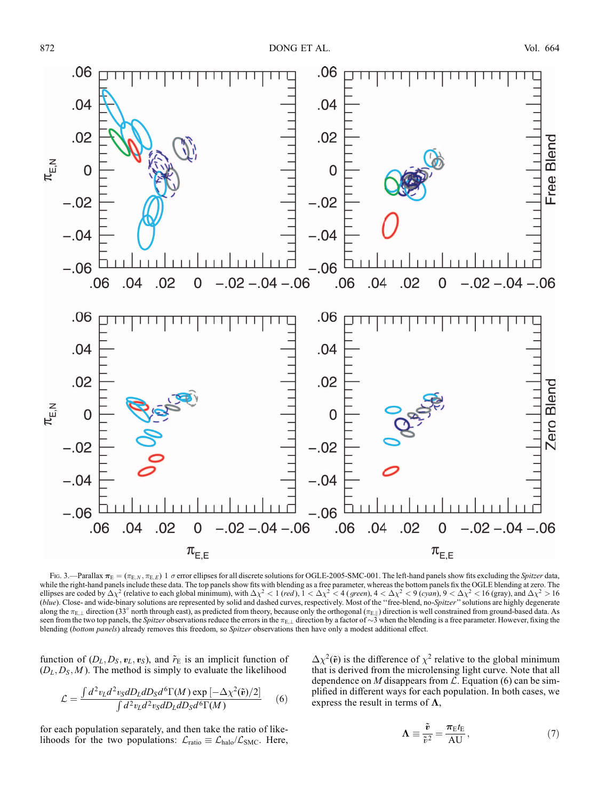

Fig. 3.—Parallax  $\pi_E = (\pi_{E,N}, \pi_{E,E})$  1  $\sigma$  error ellipses for all discrete solutions for OGLE-2005-SMC-001. The left-hand panels show fits excluding the Spitzer data, while the right-hand panels include these data. The top panels show fits with blending as a free parameter, whereas the bottom panels fix the OGLE blending at zero. The ellipses are coded by  $\Delta \chi^2$  (relative to each global minimum), with  $\Delta \chi^2 < 1$  (red),  $1 < \Delta \chi^2 < 4$  (green),  $4 < \Delta \chi^2 < 9$  (cyan),  $9 < \Delta \chi^2 < 16$  (gray), and  $\Delta \chi^2 > 16$ (blue). Close- and wide-binary solutions are represented by solid and dashed curves, respectively. Most of the "free-blend, no-Spitzer" solutions are highly degenerate along the  $\pi_{E,\perp}$  direction (33° north through east), as predicted from theory, because only the orthogonal ( $\pi_{E,\parallel}$ ) direction is well constrained from ground-based data. As seen from the two top panels, the Spitzer observations reduce the errors in the  $\pi_{E,\perp}$  direction by a factor of  $\sim$ 3 when the blending is a free parameter. However, fixing the blending (bottom panels) already removes this freedom, so Spitzer observations then have only a modest additional effect.

function of  $(D_L, D_S, v_L, v_S)$ , and  $\tilde{r}_E$  is an implicit function of  $(D_L, D_S, M)$ . The method is simply to evaluate the likelihood

$$
\mathcal{L} = \frac{\int d^2 v_L d^2 v_S dD_L dD_S d^6 \Gamma(M) \exp\left[-\Delta \chi^2(\tilde{\mathbf{v}})/2\right]}{\int d^2 v_L d^2 v_S dD_L dD_S d^6 \Gamma(M)} \tag{6}
$$

for each population separately, and then take the ratio of likelihoods for the two populations:  $\mathcal{L}_{ratio} \equiv \mathcal{L}_{halo}/\mathcal{L}_{SMC}$ . Here,  $\Delta \chi^2(\tilde{\mathbf{v}})$  is the difference of  $\chi^2$  relative to the global minimum that is derived from the microlensing light curve. Note that all dependence on M disappears from  $\mathcal{L}$ . Equation (6) can be simplified in different ways for each population. In both cases, we express the result in terms of  $\Lambda$ ,

$$
\Lambda \equiv \frac{\tilde{v}}{\tilde{v}^2} = \frac{\pi_{\rm E} t_{\rm E}}{\rm AU},\tag{7}
$$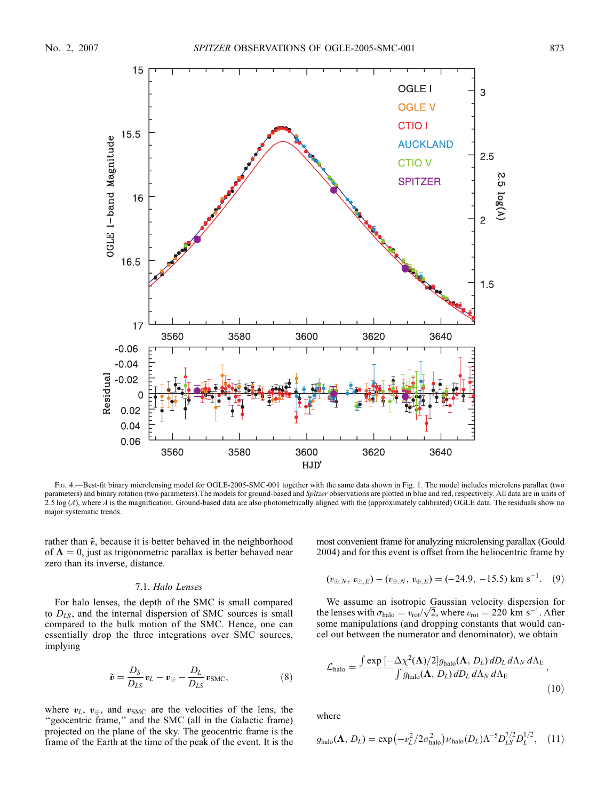

Fig. 4.—Best-fit binary microlensing model for OGLE-2005-SMC-001 together with the same data shown in Fig. 1. The model includes microlens parallax (two parameters) and binary rotation (two parameters). The models for ground-based and Spitzer observations are plotted in blue and red, respectively. All data are in units of 2.5 log  $(A)$ , where A is the magnification. Ground-based data are also photometrically aligned with the (approximately calibrated) OGLE data. The residuals show no major systematic trends.

rather than  $\tilde{v}$ , because it is better behaved in the neighborhood of  $\Lambda = 0$ , just as trigonometric parallax is better behaved near zero than its inverse, distance.

## 7.1. Halo Lenses

For halo lenses, the depth of the SMC is small compared to  $D_{LS}$ , and the internal dispersion of SMC sources is small compared to the bulk motion of the SMC. Hence, one can essentially drop the three integrations over SMC sources, implying

$$
\tilde{\mathbf{v}} = \frac{D_S}{D_{LS}} \mathbf{v}_L - \mathbf{v}_{\oplus} - \frac{D_L}{D_{LS}} \mathbf{v}_{\text{SMC}},\tag{8}
$$

where  $v_L$ ,  $v_{\oplus}$ , and  $v_{\text{SMC}}$  are the velocities of the lens, the ''geocentric frame,'' and the SMC (all in the Galactic frame) projected on the plane of the sky. The geocentric frame is the frame of the Earth at the time of the peak of the event. It is the most convenient frame for analyzing microlensing parallax (Gould 2004) and for this event is offset from the heliocentric frame by

$$
(v_{\odot,N}, v_{\odot,E}) - (v_{\oplus,N}, v_{\oplus,E}) = (-24.9, -15.5) \text{ km s}^{-1}. (9)
$$

We assume an isotropic Gaussian velocity dispersion for We assume an isotropic Gaussian velocity dispersion for<br>the lenses with  $\sigma_{halo} = v_{rot}/\sqrt{2}$ , where  $v_{rot} = 220 \text{ km s}^{-1}$ . After some manipulations (and dropping constants that would cancel out between the numerator and denominator), we obtain

$$
\mathcal{L}_{\text{halo}} = \frac{\int \exp\left[-\Delta \chi^2(\mathbf{\Lambda})/2\right]g_{\text{halo}}(\mathbf{\Lambda}, D_L) dD_L d\Lambda_N d\Lambda_{\text{E}}}{\int g_{\text{halo}}(\mathbf{\Lambda}, D_L) dD_L d\Lambda_N d\Lambda_{\text{E}}},\tag{10}
$$

where

$$
g_{\text{halo}}(\mathbf{\Lambda}, D_L) = \exp(-v_L^2/2\sigma_{\text{halo}}^2)v_{\text{halo}}(D_L)\Lambda^{-5}D_{LS}^{7/2}D_L^{1/2}, \quad (11)
$$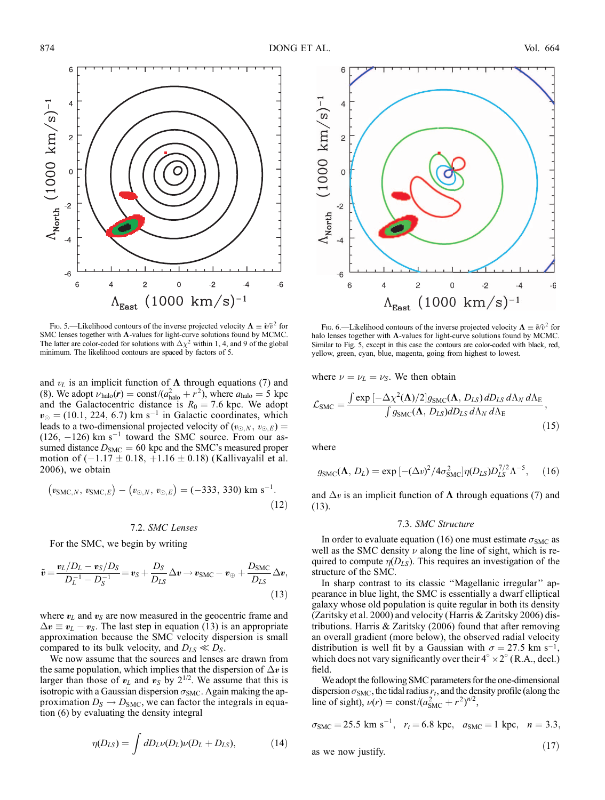

Fig. 5.—Likelihood contours of the inverse projected velocity  $\Lambda = \tilde{v}/\tilde{v}^2$  for SMC lenses together with  $\Lambda$ -values for light-curve solutions found by MCMC. The latter are color-coded for solutions with  $\Delta \chi^2$  within 1, 4, and 9 of the global minimum. The likelihood contours are spaced by factors of 5.

and  $v<sub>L</sub>$  is an implicit function of  $\Lambda$  through equations (7) and (8). We adopt  $\nu_{halo}(\mathbf{r}) = \text{const}/(a_{halo}^2 + r^2)$ , where  $a_{halo} = 5$  kpc and the Galactocentric distance is  $R_0 = 7.6$  kpc. We adopt  $v_{\odot} = (10.1, 224, 6.7)$  km s<sup>-1</sup> in Galactic coordinates, which leads to a two-dimensional projected velocity of  $(v_{\odot,N}, v_{\odot,E}) =$  $(126, -126)$  km s<sup>-1</sup> toward the SMC source. From our assumed distance  $D_{SMC} = 60$  kpc and the SMC's measured proper motion of  $(-1.17 \pm 0.18, +1.16 \pm 0.18)$  (Kallivayalil et al. 2006), we obtain

$$
(v_{\text{SMC},N},\,v_{\text{SMC},E}) - (v_{\odot,N},\,v_{\odot,E}) = (-333,\,330) \text{ km s}^{-1}.\tag{12}
$$

7.2. SMC Lenses

For the SMC, we begin by writing

$$
\tilde{\boldsymbol{v}} = \frac{\boldsymbol{v}_L/D_L - \boldsymbol{v}_S/D_S}{D_L^{-1} - D_S^{-1}} = \boldsymbol{v}_S + \frac{D_S}{D_{LS}}\Delta \boldsymbol{v} \rightarrow \boldsymbol{v}_{\text{SMC}} - \boldsymbol{v}_{\oplus} + \frac{D_{\text{SMC}}}{D_{LS}}\Delta \boldsymbol{v},
$$
\n(13)

where  $v<sub>L</sub>$  and  $v<sub>S</sub>$  are now measured in the geocentric frame and  $\Delta v \equiv v_L - v_S$ . The last step in equation (13) is an appropriate approximation because the SMC velocity dispersion is small compared to its bulk velocity, and  $D_{LS} \ll D_S$ .

We now assume that the sources and lenses are drawn from the same population, which implies that the dispersion of  $\Delta v$  is larger than those of  $v_L$  and  $v_S$  by  $2^{1/2}$ . We assume that this is isotropic with a Gaussian dispersion  $\sigma_{SMC}$ . Again making the approximation  $D_S \rightarrow D_{SMC}$ , we can factor the integrals in equation (6) by evaluating the density integral

$$
\eta(D_{LS}) = \int dD_L \nu(D_L) \nu(D_L + D_{LS}), \qquad (14)
$$



Fig. 6.—Likelihood contours of the inverse projected velocity  $\Lambda = \tilde{v}/\tilde{v}^2$  for halo lenses together with  $\Lambda$ -values for light-curve solutions found by MCMC. Similar to Fig. 5, except in this case the contours are color-coded with black, red, yellow, green, cyan, blue, magenta, going from highest to lowest.

where  $\nu = \nu_L = \nu_S$ . We then obtain

$$
\mathcal{L}_{\text{SMC}} = \frac{\int \exp\left[-\Delta \chi^2(\mathbf{\Lambda})/2\right]g_{\text{SMC}}(\mathbf{\Lambda}, D_{LS})dD_{LS}d\Lambda_N d\Lambda_{\text{E}}}{\int g_{\text{SMC}}(\mathbf{\Lambda}, D_{LS})dD_{LS}d\Lambda_N d\Lambda_{\text{E}}},\tag{15}
$$

where

$$
g_{\rm SMC}(\mathbf{\Lambda}, D_L) = \exp\left[-(\Delta v)^2 / 4\sigma_{\rm SMC}^2\right] \eta(D_{LS}) D_{LS}^{7/2} \Lambda^{-5},\qquad(16)
$$

and  $\Delta v$  is an implicit function of  $\Lambda$  through equations (7) and (13).

## 7.3. SMC Structure

In order to evaluate equation (16) one must estimate  $\sigma_{SMC}$  as well as the SMC density  $\nu$  along the line of sight, which is required to compute  $\eta(D_{LS})$ . This requires an investigation of the structure of the SMC.

In sharp contrast to its classic ''Magellanic irregular'' appearance in blue light, the SMC is essentially a dwarf elliptical galaxy whose old population is quite regular in both its density (Zaritsky et al. 2000) and velocity (Harris & Zaritsky 2006) distributions. Harris & Zaritsky (2006) found that after removing an overall gradient (more below), the observed radial velocity distribution is well fit by a Gaussian with  $\sigma = 27.5$  km s<sup>-1</sup>, which does not vary significantly over their  $4^\circ \times 2^\circ$  (R.A., decl.) field.

We adopt the following SMC parameters for the one-dimensional dispersion  $\sigma_{\text{SMC}}$ , the tidal radius  $r_t$ , and the density profile (along the line of sight),  $\nu(r) = \text{const}/(a_{\text{SMC}}^2 + r^2)^{n/2}$ ,

$$
\sigma_{\text{SMC}} = 25.5 \text{ km s}^{-1}
$$
,  $r_t = 6.8 \text{ kpc}$ ,  $a_{\text{SMC}} = 1 \text{ kpc}$ ,  $n = 3.3$ ,

as we now justify.

$$
(17)
$$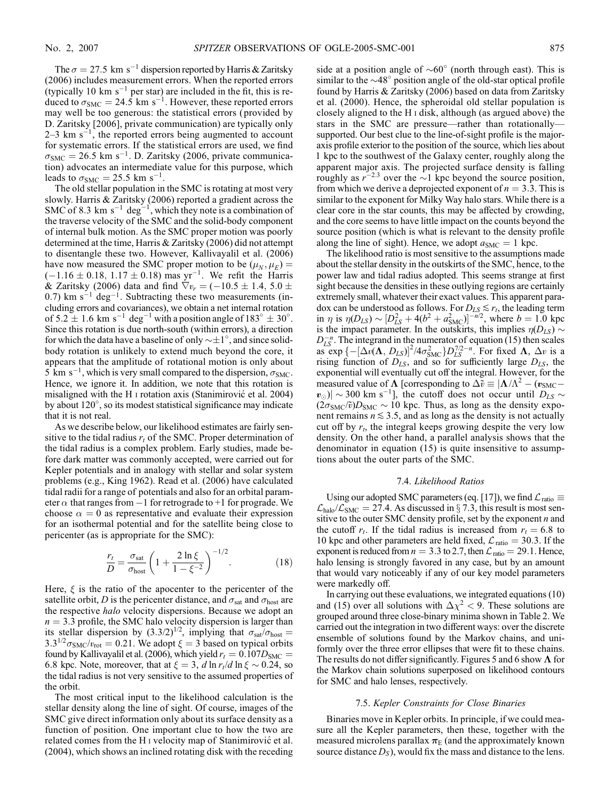The  $\sigma = 27.5$  km s<sup>-1</sup> dispersion reported by Harris & Zaritsky (2006) includes measurement errors. When the reported errors (typically 10 km  $s^{-1}$  per star) are included in the fit, this is reduced to  $\sigma_{\text{SMC}} = 24.5 \text{ km s}^{-1}$ . However, these reported errors may well be too generous: the statistical errors ( provided by D. Zaritsky [2006], private communication) are typically only  $2-3$  km s<sup>-1</sup>, the reported errors being augmented to account for systematic errors. If the statistical errors are used, we find  $\sigma_{\text{SMC}} = 26.5 \text{ km s}^{-1}$ . D. Zaritsky (2006, private communication) advocates an intermediate value for this purpose, which leads to  $\sigma_{\text{SMC}} = 25.5 \text{ km s}^{-1}$ .

The old stellar population in the SMC is rotating at most very slowly. Harris & Zaritsky (2006) reported a gradient across the SMC of 8.3 km  $s^{-1}$  deg<sup>-1</sup>, which they note is a combination of the traverse velocity of the SMC and the solid-body component of internal bulk motion. As the SMC proper motion was poorly determined at the time, Harris & Zaritsky (2006) did not attempt to disentangle these two. However, Kallivayalil et al. (2006) have now measured the SMC proper motion to be  $(\mu_N, \mu_E)$  =  $(-1.16 \pm 0.18, 1.17 \pm 0.18)$  mas yr<sup>-1</sup>. We refit the Harris & Zaritsky (2006) data and find  $\nabla v_r = (-10.5 \pm 1.4, 5.0 \pm 1.4)$  $(0.7)$  km s<sup>-1</sup> deg<sup>-1</sup>. Subtracting these two measurements (including errors and covariances), we obtain a net internal rotation of 5.2  $\pm$  1.6 km s<sup>-1</sup> deg<sup>-1</sup> with a position angle of 183°  $\pm$  30°. Since this rotation is due north-south (within errors), a direction for which the data have a baseline of only  $\sim \pm 1^{\circ}$ , and since solidbody rotation is unlikely to extend much beyond the core, it appears that the amplitude of rotational motion is only about 5 km s<sup>-1</sup>, which is very small compared to the dispersion,  $\sigma_{\text{SMC}}$ . Hence, we ignore it. In addition, we note that this rotation is misaligned with the H I rotation axis (Stanimirović et al. 2004) by about 120°, so its modest statistical significance may indicate that it is not real.

As we describe below, our likelihood estimates are fairly sensitive to the tidal radius  $r_t$  of the SMC. Proper determination of the tidal radius is a complex problem. Early studies, made before dark matter was commonly accepted, were carried out for Kepler potentials and in analogy with stellar and solar system problems (e.g., King 1962). Read et al. (2006) have calculated tidal radii for a range of potentials and also for an orbital parameter  $\alpha$  that ranges from  $-1$  for retrograde to  $+1$  for prograde. We choose  $\alpha = 0$  as representative and evaluate their expression for an isothermal potential and for the satellite being close to pericenter (as is appropriate for the SMC):

$$
\frac{r_t}{D} = \frac{\sigma_{\text{sat}}}{\sigma_{\text{host}}} \left( 1 + \frac{2 \ln \xi}{1 - \xi^{-2}} \right)^{-1/2}.
$$
 (18)

Here,  $\xi$  is the ratio of the apocenter to the pericenter of the satellite orbit, D is the pericenter distance, and  $\sigma_{\text{sat}}$  and  $\sigma_{\text{host}}$  are the respective halo velocity dispersions. Because we adopt an  $n = 3.3$  profile, the SMC halo velocity dispersion is larger than its stellar dispersion by  $(3.3/2)^{1/2}$ , implying that  $\sigma_{\text{sat}}/\sigma_{\text{host}} =$  $3.3^{1/2}\sigma_{\text{SMC}}/v_{\text{rot}} = 0.21$ . We adopt  $\xi = 3$  based on typical orbits found by Kallivayalil et al. (2006), which yield  $r_t = 0.107D<sub>SMC</sub>$ 6.8 kpc. Note, moreover, that at  $\xi = 3$ , d ln  $r_t/d \ln \xi \sim 0.24$ , so the tidal radius is not very sensitive to the assumed properties of the orbit.

The most critical input to the likelihood calculation is the stellar density along the line of sight. Of course, images of the SMC give direct information only about its surface density as a function of position. One important clue to how the two are related comes from the H<sub>I</sub> velocity map of Stanimirovic<sup> $\acute{e}$ </sup> et al. (2004), which shows an inclined rotating disk with the receding side at a position angle of  $\sim 60^\circ$  (north through east). This is similar to the  $\sim$ 48 $^{\circ}$  position angle of the old-star optical profile found by Harris & Zaritsky (2006) based on data from Zaritsky et al. (2000). Hence, the spheroidal old stellar population is closely aligned to the H i disk, although (as argued above) the stars in the SMC are pressure—rather than rotationally supported. Our best clue to the line-of-sight profile is the majoraxis profile exterior to the position of the source, which lies about 1 kpc to the southwest of the Galaxy center, roughly along the apparent major axis. The projected surface density is falling roughly as  $r^{-2.3}$  over the  $\sim$ 1 kpc beyond the source position, from which we derive a deprojected exponent of  $n = 3.3$ . This is similar to the exponent for Milky Way halo stars. While there is a clear core in the star counts, this may be affected by crowding, and the core seems to have little impact on the counts beyond the source position (which is what is relevant to the density profile along the line of sight). Hence, we adopt  $a_{\text{SMC}} = 1$  kpc.

The likelihood ratio is most sensitive to the assumptions made about the stellar density in the outskirts of the SMC, hence, to the power law and tidal radius adopted. This seems strange at first sight because the densities in these outlying regions are certainly extremely small, whatever their exact values. This apparent paradox can be understood as follows. For  $D_{LS} \lesssim r_t$ , the leading term in  $\eta$  is  $\eta(D_{LS}) \sim [D_{LS}^2 + 4(b^2 + a_{\text{SMC}}^2)]^{-n/2}$ , where  $b = 1.0$  kpc is the impact parameter. In the outskirts, this implies  $\eta(D_{LS}) \sim$  $D_{LS}^{-n}$ . The integrand in the numerator of equation (15) then scales as  $\exp \left\{-\left[\Delta v(\mathbf{\Lambda}, D_{LS})\right]^2/4\sigma_{\text{SMC}}^2\right\}D_{LS}^{7/2-n}$ . For fixed  $\mathbf{\Lambda}, \Delta v$  is a rising function of  $D_{LS}$ , and so for sufficiently large  $D_{LS}$ , the exponential will eventually cut off the integral. However, for the measured value of  $\Lambda$  [corresponding to  $\Delta \tilde{v} \equiv |\Lambda/\Lambda^2 - (v_{\text{SMC}} |v_{\odot}\rangle|\sim$  300 km s<sup>-1</sup>], the cutoff does not occur until  $D_{LS}\sim$  $(2\sigma_{SMC}/\tilde{v})D_{SMC} \sim 10$  kpc. Thus, as long as the density exponent remains  $n \leq 3.5$ , and as long as the density is not actually cut off by  $r_t$ , the integral keeps growing despite the very low density. On the other hand, a parallel analysis shows that the denominator in equation (15) is quite insensitive to assumptions about the outer parts of the SMC.

#### 7.4. Likelihood Ratios

Using our adopted SMC parameters (eq. [17]), we find  $\mathcal{L}_{\text{ratio}} \equiv$  $\mathcal{L}_{\text{halo}}/\mathcal{L}_{\text{SMC}} = 27.4$ . As discussed in § 7.3, this result is most sensitive to the outer SMC density profile, set by the exponent  $n$  and the cutoff  $r_t$ . If the tidal radius is increased from  $r_t = 6.8$  to 10 kpc and other parameters are held fixed,  $\mathcal{L}_{\text{ratio}} = 30.3$ . If the exponent is reduced from  $n = 3.3$  to 2.7, then  $\mathcal{L}_{\text{ratio}} = 29.1$ . Hence, halo lensing is strongly favored in any case, but by an amount that would vary noticeably if any of our key model parameters were markedly off.

In carrying out these evaluations, we integrated equations (10) and (15) over all solutions with  $\Delta \chi^2$  < 9. These solutions are grouped around three close-binary minima shown in Table 2. We carried out the integration in two different ways: over the discrete ensemble of solutions found by the Markov chains, and uniformly over the three error ellipses that were fit to these chains. The results do not differ significantly. Figures 5 and 6 show  $\Lambda$  for the Markov chain solutions superposed on likelihood contours for SMC and halo lenses, respectively.

### 7.5. Kepler Constraints for Close Binaries

Binaries move in Kepler orbits. In principle, if we could measure all the Kepler parameters, then these, together with the measured microlens parallax  $\pi_E$  (and the approximately known source distance  $D_s$ ), would fix the mass and distance to the lens.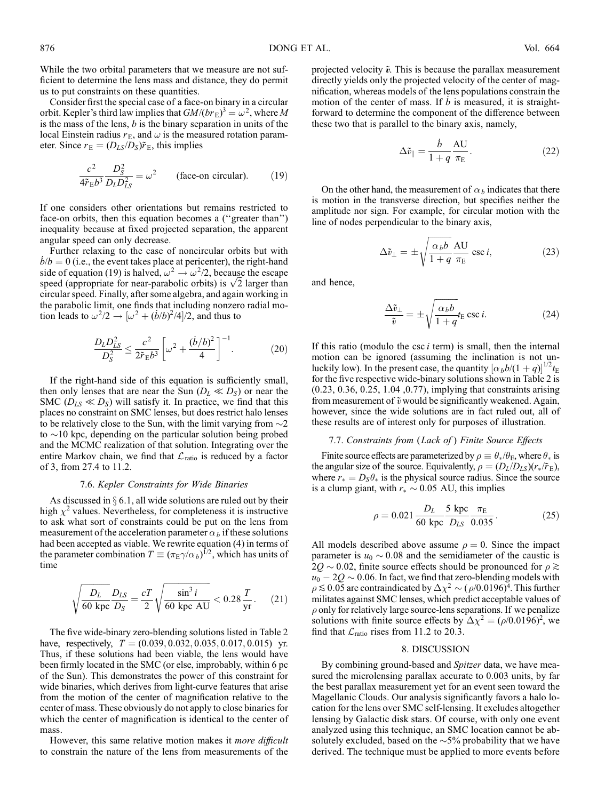While the two orbital parameters that we measure are not sufficient to determine the lens mass and distance, they do permit us to put constraints on these quantities.

Consider first the special case of a face-on binary in a circular orbit. Kepler's third law implies that  $GM/(b r_{\rm E})^3 = \omega^2$ , where M is the mass of the lens,  $b$  is the binary separation in units of the local Einstein radius  $r_E$ , and  $\omega$  is the measured rotation parameter. Since  $r_E = (D_{LS}/D_S) \tilde{r}_E$ , this implies

$$
\frac{c^2}{4\tilde{r}_E b^3} \frac{D_S^2}{D_L D_{LS}^2} = \omega^2
$$
 (face-on circular). (19)

If one considers other orientations but remains restricted to face-on orbits, then this equation becomes a (''greater than'') inequality because at fixed projected separation, the apparent angular speed can only decrease.

Further relaxing to the case of noncircular orbits but with  $b/b = 0$  (i.e., the event takes place at pericenter), the right-hand side of equation (19) is halved,  $\omega^2 \rightarrow \omega^2/2$ , because the escape side of equation (19) is halved,  $\omega^2 \rightarrow \omega^2/2$ , because the escape speed (appropriate for near-parabolic orbits) is  $\sqrt{2}$  larger than circular speed. Finally, after some algebra, and again working in the parabolic limit, one finds that including nonzero radial motion leads to  $\omega^2/2 \rightarrow [\omega^2 + (\dot{b}/b)^2/4]/2$ , and thus to

$$
\frac{D_L D_{LS}^2}{D_S^2} \le \frac{c^2}{2\tilde{r}_E b^3} \left[ \omega^2 + \frac{(\dot{b}/b)^2}{4} \right]^{-1}.
$$
 (20)

If the right-hand side of this equation is sufficiently small, then only lenses that are near the Sun  $(D_L \ll D_S)$  or near the SMC ( $D_{LS} \ll D_S$ ) will satisfy it. In practice, we find that this places no constraint on SMC lenses, but does restrict halo lenses to be relatively close to the Sun, with the limit varying from  $\sim$ 2 to  $\sim$ 10 kpc, depending on the particular solution being probed and the MCMC realization of that solution. Integrating over the entire Markov chain, we find that  $\mathcal{L}_{ratio}$  is reduced by a factor of 3, from 27.4 to 11.2.

## 7.6. Kepler Constraints for Wide Binaries

As discussed in  $\S 6.1$ , all wide solutions are ruled out by their high  $\chi^2$  values. Nevertheless, for completeness it is instructive to ask what sort of constraints could be put on the lens from measurement of the acceleration parameter  $\alpha_b$  if these solutions had been accepted as viable. We rewrite equation (4) in terms of the parameter combination  $T \equiv (\pi_{\rm E} \gamma/\alpha_b)^{1/2}$ , which has units of time

$$
\sqrt{\frac{D_L}{60 \text{ kpc}}}\frac{D_{LS}}{D_S} = \frac{cT}{2} \sqrt{\frac{\sin^3 i}{60 \text{ kpc AU}}} < 0.28 \frac{T}{\text{yr}}.\tag{21}
$$

The five wide-binary zero-blending solutions listed in Table 2 have, respectively,  $T = (0.039, 0.032, 0.035, 0.017, 0.015)$  yr. Thus, if these solutions had been viable, the lens would have been firmly located in the SMC (or else, improbably, within 6 pc of the Sun). This demonstrates the power of this constraint for wide binaries, which derives from light-curve features that arise from the motion of the center of magnification relative to the center of mass. These obviously do not apply to close binaries for which the center of magnification is identical to the center of mass.

However, this same relative motion makes it more difficult to constrain the nature of the lens from measurements of the

projected velocity  $\tilde{v}$ . This is because the parallax measurement directly yields only the projected velocity of the center of magnification, whereas models of the lens populations constrain the motion of the center of mass. If  $\dot{b}$  is measured, it is straightforward to determine the component of the difference between these two that is parallel to the binary axis, namely,

$$
\Delta \tilde{v}_{\parallel} = \frac{\dot{b}}{1+q} \frac{\text{AU}}{\pi_{\text{E}}}.
$$
\n(22)

On the other hand, the measurement of  $\alpha_b$  indicates that there is motion in the transverse direction, but specifies neither the amplitude nor sign. For example, for circular motion with the line of nodes perpendicular to the binary axis,

$$
\Delta \tilde{v}_{\perp} = \pm \sqrt{\frac{\alpha_b b}{1 + q}} \frac{\text{AU}}{\pi_{\text{E}}} \csc i,
$$
 (23)

and hence,

$$
\frac{\Delta \tilde{v}_{\perp}}{\tilde{v}} = \pm \sqrt{\frac{\alpha_b b}{1 + q}} t_{\rm E} \csc i.
$$
 (24)

If this ratio (modulo the csc  $i$  term) is small, then the internal motion can be ignored (assuming the inclination is not unluckily low). In the present case, the quantity  $[\alpha_b b/(1+q)]^{1/2}t_E$ for the five respective wide-binary solutions shown in Table 2 is (0.23, 0.36, 0.25, 1.04 ,0.77), implying that constraints arising from measurement of  $\tilde{v}$  would be significantly weakened. Again, however, since the wide solutions are in fact ruled out, all of these results are of interest only for purposes of illustration.

## 7.7. Constraints from (Lack of ) Finite Source Effects

Finite source effects are parameterized by  $\rho \equiv \theta_*/\theta_{\rm E}$ , where  $\theta_*$  is the angular size of the source. Equivalently,  $\rho = (D_L/D_{LS})(r_*/\tilde{r}_{E}),$ where  $r_* = D_s \theta_*$  is the physical source radius. Since the source is a clump giant, with  $r_* \sim 0.05$  AU, this implies

$$
\rho = 0.021 \frac{D_L}{60 \text{ kpc}} \frac{5 \text{ kpc}}{D_{LS}} \frac{\pi_{\text{E}}}{0.035}.
$$
 (25)

All models described above assume  $\rho = 0$ . Since the impact parameter is  $u_0 \sim 0.08$  and the semidiameter of the caustic is  $2Q \sim 0.02$ , finite source effects should be pronounced for  $\rho \gtrsim$  $u_0-2Q\sim 0.06.$  In fact, we find that zero-blending models with  $\rho \lesssim 0.05$  are contraindicated by  $\Delta \chi^2 \sim (\rho/0.0196)^4$ . This further militates against SMC lenses, which predict acceptable values of  $\rho$  only for relatively large source-lens separations. If we penalize solutions with finite source effects by  $\Delta \chi^2 = (\rho/0.0196)^2$ , we find that  $\mathcal{L}_{\text{ratio}}$  rises from 11.2 to 20.3.

### 8. DISCUSSION

By combining ground-based and Spitzer data, we have measured the microlensing parallax accurate to 0.003 units, by far the best parallax measurement yet for an event seen toward the Magellanic Clouds. Our analysis significantly favors a halo location for the lens over SMC self-lensing. It excludes altogether lensing by Galactic disk stars. Of course, with only one event analyzed using this technique, an SMC location cannot be absolutely excluded, based on the  $\sim$ 5% probability that we have derived. The technique must be applied to more events before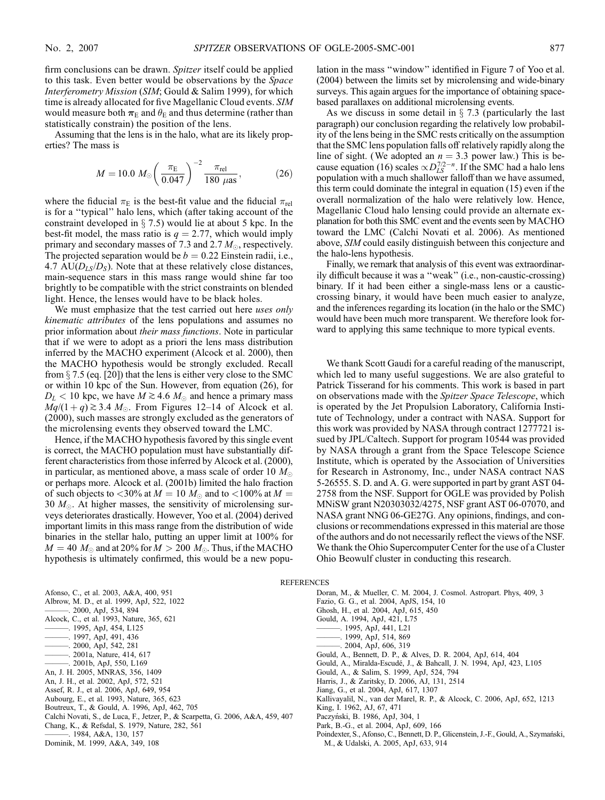firm conclusions can be drawn. Spitzer itself could be applied to this task. Even better would be observations by the Space Interferometry Mission (SIM; Gould & Salim 1999), for which time is already allocated for five Magellanic Cloud events. SIM would measure both  $\boldsymbol{\pi}_\mathrm{E}$  and  $\theta_\mathrm{E}$  and thus determine (rather than statistically constrain) the position of the lens.

Assuming that the lens is in the halo, what are its likely properties? The mass is

$$
M = 10.0 \ M_{\odot} \left(\frac{\pi_{\rm E}}{0.047}\right)^{-2} \frac{\pi_{\rm rel}}{180 \ \mu\text{as}},\tag{26}
$$

where the fiducial  $\pi_E$  is the best-fit value and the fiducial  $\pi_{rel}$ is for a ''typical'' halo lens, which (after taking account of the constraint developed in  $\S$  7.5) would lie at about 5 kpc. In the best-fit model, the mass ratio is  $q = 2.77$ , which would imply primary and secondary masses of 7.3 and 2.7  $M_{\odot}$ , respectively. The projected separation would be  $b = 0.22$  Einstein radii, i.e., 4.7 AU( $D_{LS}/D_S$ ). Note that at these relatively close distances, main-sequence stars in this mass range would shine far too brightly to be compatible with the strict constraints on blended light. Hence, the lenses would have to be black holes.

We must emphasize that the test carried out here *uses only* kinematic attributes of the lens populations and assumes no prior information about their mass functions. Note in particular that if we were to adopt as a priori the lens mass distribution inferred by the MACHO experiment (Alcock et al. 2000), then the MACHO hypothesis would be strongly excluded. Recall from  $\S$  7.5 (eq. [20]) that the lens is either very close to the SMC or within 10 kpc of the Sun. However, from equation (26), for  $D_L < 10$  kpc, we have  $M \geq 4.6$   $M_{\odot}$  and hence a primary mass  $Mq/(1+q) \gtrsim 3.4$  M<sub> $\odot$ </sub>. From Figures 12–14 of Alcock et al. (2000), such masses are strongly excluded as the generators of the microlensing events they observed toward the LMC.

Hence, if the MACHO hypothesis favored by this single event is correct, the MACHO population must have substantially different characteristics from those inferred by Alcock et al. (2000), in particular, as mentioned above, a mass scale of order 10  $M_{\odot}$ or perhaps more. Alcock et al. (2001b) limited the halo fraction of such objects to  $< 30\%$  at  $M = 10 M_{\odot}$  and to  $< 100\%$  at  $M =$ 30  $M_{\odot}$ . At higher masses, the sensitivity of microlensing surveys deteriorates drastically. However, Yoo et al. (2004) derived important limits in this mass range from the distribution of wide binaries in the stellar halo, putting an upper limit at 100% for  $M = 40 M_{\odot}$  and at 20% for  $M > 200 M_{\odot}$ . Thus, if the MACHO hypothesis is ultimately confirmed, this would be a new population in the mass ''window'' identified in Figure 7 of Yoo et al. (2004) between the limits set by microlensing and wide-binary surveys. This again argues for the importance of obtaining spacebased parallaxes on additional microlensing events.

As we discuss in some detail in  $\S$  7.3 (particularly the last paragraph) our conclusion regarding the relatively low probability of the lens being in the SMC rests critically on the assumption that the SMC lens population falls off relatively rapidly along the line of sight. (We adopted an  $n = 3.3$  power law.) This is because equation (16) scales  $\propto D_{LS}^{7/2-n}$ . If the SMC had a halo lens population with a much shallower falloff than we have assumed, this term could dominate the integral in equation (15) even if the overall normalization of the halo were relatively low. Hence, Magellanic Cloud halo lensing could provide an alternate explanation for both this SMC event and the events seen by MACHO toward the LMC (Calchi Novati et al. 2006). As mentioned above, SIM could easily distinguish between this conjecture and the halo-lens hypothesis.

Finally, we remark that analysis of this event was extraordinarily difficult because it was a ''weak'' (i.e., non-caustic-crossing) binary. If it had been either a single-mass lens or a causticcrossing binary, it would have been much easier to analyze, and the inferences regarding its location (in the halo or the SMC) would have been much more transparent. We therefore look forward to applying this same technique to more typical events.

We thank Scott Gaudi for a careful reading of the manuscript, which led to many useful suggestions. We are also grateful to Patrick Tisserand for his comments. This work is based in part on observations made with the Spitzer Space Telescope, which is operated by the Jet Propulsion Laboratory, California Institute of Technology, under a contract with NASA. Support for this work was provided by NASA through contract 1277721 issued by JPL/Caltech. Support for program 10544 was provided by NASA through a grant from the Space Telescope Science Institute, which is operated by the Association of Universities for Research in Astronomy, Inc., under NASA contract NAS 5-26555. S. D. and A. G. were supported in part by grant AST 04- 2758 from the NSF. Support for OGLE was provided by Polish MNiSW grant N20303032/4275, NSF grant AST 06-07070, and NASA grant NNG 06-GE27G. Any opinions, findings, and conclusions or recommendations expressed in this material are those of the authors and do not necessarily reflect the views of the NSF. We thank the Ohio Supercomputer Center for the use of a Cluster Ohio Beowulf cluster in conducting this research.

**REFERENCES** 

- Afonso, C., et al. 2003, A&A, 400, 951 Albrow, M. D., et al. 1999, ApJ, 522, 1022 ———. 2000, ApJ, 534, 894 Alcock, C., et al. 1993, Nature, 365, 621 ———. 1995, ApJ, 454, L125 ———. 1997, ApJ, 491, 436  $-$ , 2000, ApJ, 542, 281 ———. 2001a, Nature, 414, 617 ———. 2001b, ApJ, 550, L169 An, J. H. 2005, MNRAS, 356, 1409 An, J. H., et al. 2002, ApJ, 572, 521 Assef, R. J., et al. 2006, ApJ, 649, 954 Aubourg, E., et al. 1993, Nature, 365, 623 Boutreux, T., & Gould, A. 1996, ApJ, 462, 705 Calchi Novati, S., de Luca, F., Jetzer, P., & Scarpetta, G. 2006, A&A, 459, 407 Chang, K., & Refsdal, S. 1979, Nature, 282, 561 ———. 1984, A&A, 130, 157 Dominik, M. 1999, A&A, 349, 108
- Doran, M., & Mueller, C. M. 2004, J. Cosmol. Astropart. Phys, 409, 3 Fazio, G. G., et al. 2004, ApJS, 154, 10 Ghosh, H., et al. 2004, ApJ, 615, 450 Gould, A. 1994, ApJ, 421, L75 ———. 1995, ApJ, 441, L21
	- ———. 1999, ApJ, 514, 869
	- ———. 2004, ApJ, 606, 319
	- Gould, A., Bennett, D. P., & Alves, D. R. 2004, ApJ, 614, 404
	- Gould, A., Miralda-Escudé, J., & Bahcall, J. N. 1994, ApJ, 423, L105
	- Gould, A., & Salim, S. 1999, ApJ, 524, 794
	- Harris, J., & Zaritsky, D. 2006, AJ, 131, 2514
	- Jiang, G., et al. 2004, ApJ, 617, 1307
	- Kallivayalil, N., van der Marel, R. P., & Alcock, C. 2006, ApJ, 652, 1213
	- King, I. 1962, AJ, 67, 471
	- Paczyński, B. 1986, ApJ, 304, 1
	- Park, B.-G., et al. 2004, ApJ, 609, 166
	- Poindexter, S., Afonso, C., Bennett, D. P., Glicenstein, J.-F., Gould, A., Szyman´ski, M., & Udalski, A. 2005, ApJ, 633, 914